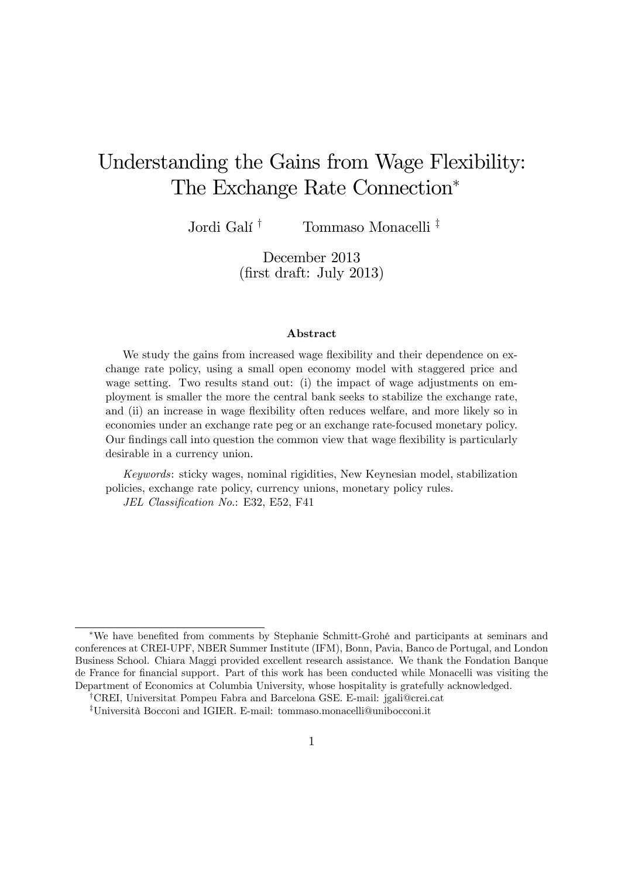# Understanding the Gains from Wage Flexibility: The Exchange Rate Connection

Jordi Galí<sup>†</sup> Tommaso Monacelli<sup>‡</sup>

December 2013  $(first draft: July 2013)$ 

#### Abstract

We study the gains from increased wage flexibility and their dependence on exchange rate policy, using a small open economy model with staggered price and wage setting. Two results stand out: (i) the impact of wage adjustments on employment is smaller the more the central bank seeks to stabilize the exchange rate, and (ii) an increase in wage flexibility often reduces welfare, and more likely so in economies under an exchange rate peg or an exchange rate-focused monetary policy. Our findings call into question the common view that wage flexibility is particularly desirable in a currency union.

Keywords: sticky wages, nominal rigidities, New Keynesian model, stabilization policies, exchange rate policy, currency unions, monetary policy rules. JEL Classification No.: E32, E52, F41

<sup>\*</sup>We have benefited from comments by Stephanie Schmitt-Grohé and participants at seminars and conferences at CREI-UPF, NBER Summer Institute (IFM), Bonn, Pavia, Banco de Portugal, and London Business School. Chiara Maggi provided excellent research assistance. We thank the Fondation Banque de France for financial support. Part of this work has been conducted while Monacelli was visiting the Department of Economics at Columbia University, whose hospitality is gratefully acknowledged.

<sup>y</sup>CREI, Universitat Pompeu Fabra and Barcelona GSE. E-mail: jgali@crei.cat

<sup>z</sup>Universit‡ Bocconi and IGIER. E-mail: tommaso.monacelli@unibocconi.it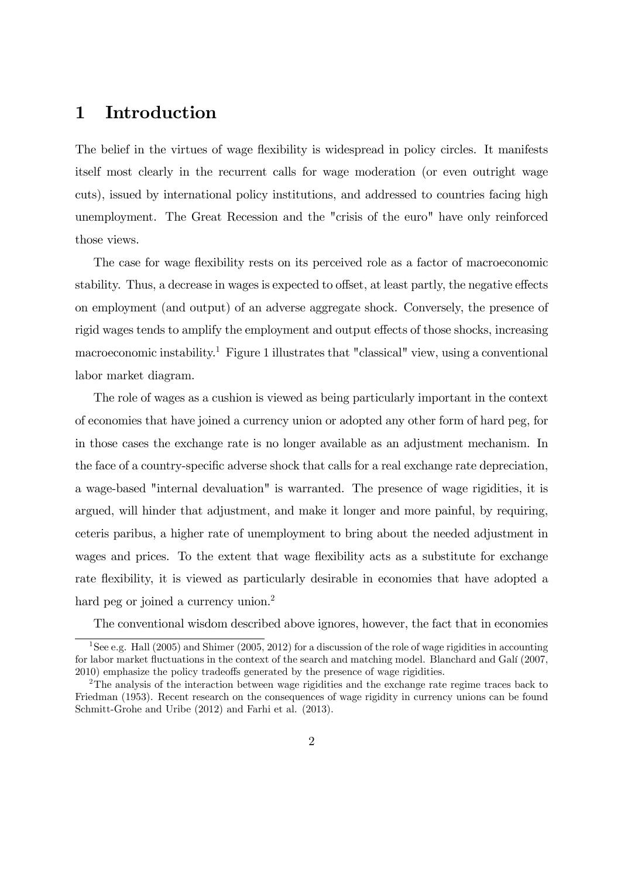### 1 Introduction

The belief in the virtues of wage flexibility is widespread in policy circles. It manifests itself most clearly in the recurrent calls for wage moderation (or even outright wage cuts), issued by international policy institutions, and addressed to countries facing high unemployment. The Great Recession and the "crisis of the euro" have only reinforced those views.

The case for wage flexibility rests on its perceived role as a factor of macroeconomic stability. Thus, a decrease in wages is expected to offset, at least partly, the negative effects on employment (and output) of an adverse aggregate shock. Conversely, the presence of rigid wages tends to amplify the employment and output effects of those shocks, increasing macroeconomic instability.<sup>1</sup> Figure 1 illustrates that "classical" view, using a conventional labor market diagram.

The role of wages as a cushion is viewed as being particularly important in the context of economies that have joined a currency union or adopted any other form of hard peg, for in those cases the exchange rate is no longer available as an adjustment mechanism. In the face of a country-specific adverse shock that calls for a real exchange rate depreciation, a wage-based "internal devaluation" is warranted. The presence of wage rigidities, it is argued, will hinder that adjustment, and make it longer and more painful, by requiring, ceteris paribus, a higher rate of unemployment to bring about the needed adjustment in wages and prices. To the extent that wage flexibility acts as a substitute for exchange rate flexibility, it is viewed as particularly desirable in economies that have adopted a hard peg or joined a currency union.<sup>2</sup>

The conventional wisdom described above ignores, however, the fact that in economies

<sup>1</sup>See e.g. Hall (2005) and Shimer (2005, 2012) for a discussion of the role of wage rigidities in accounting for labor market fluctuations in the context of the search and matching model. Blanchard and Galí (2007, 2010) emphasize the policy tradeoffs generated by the presence of wage rigidities.

<sup>2</sup>The analysis of the interaction between wage rigidities and the exchange rate regime traces back to Friedman (1953). Recent research on the consequences of wage rigidity in currency unions can be found Schmitt-Grohe and Uribe (2012) and Farhi et al. (2013).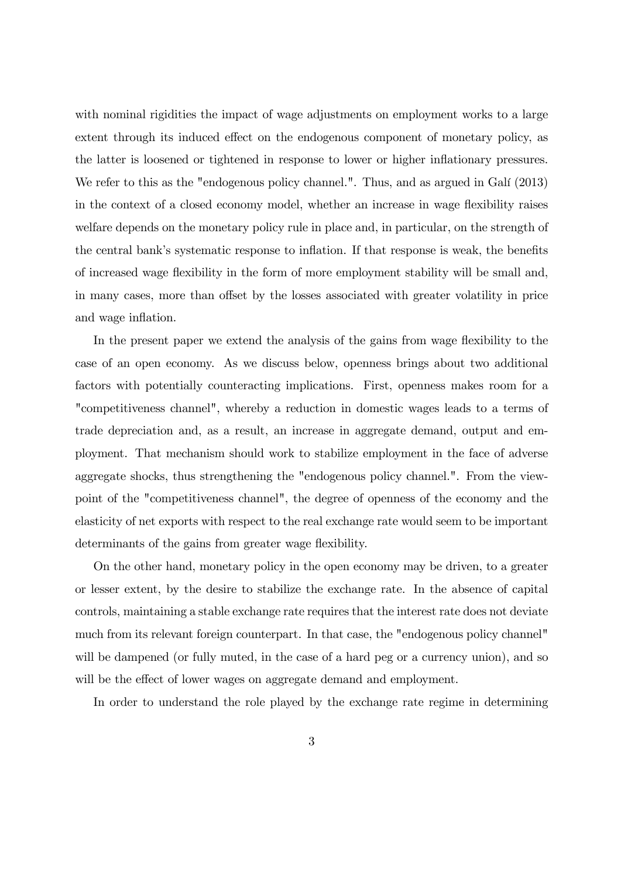with nominal rigidities the impact of wage adjustments on employment works to a large extent through its induced effect on the endogenous component of monetary policy, as the latter is loosened or tightened in response to lower or higher inflationary pressures. We refer to this as the "endogenous policy channel.". Thus, and as argued in Galí (2013) in the context of a closed economy model, whether an increase in wage flexibility raises welfare depends on the monetary policy rule in place and, in particular, on the strength of the central bank's systematic response to inflation. If that response is weak, the benefits of increased wage áexibility in the form of more employment stability will be small and, in many cases, more than offset by the losses associated with greater volatility in price and wage inflation.

In the present paper we extend the analysis of the gains from wage flexibility to the case of an open economy. As we discuss below, openness brings about two additional factors with potentially counteracting implications. First, openness makes room for a "competitiveness channel", whereby a reduction in domestic wages leads to a terms of trade depreciation and, as a result, an increase in aggregate demand, output and employment. That mechanism should work to stabilize employment in the face of adverse aggregate shocks, thus strengthening the "endogenous policy channel.". From the viewpoint of the "competitiveness channel", the degree of openness of the economy and the elasticity of net exports with respect to the real exchange rate would seem to be important determinants of the gains from greater wage flexibility.

On the other hand, monetary policy in the open economy may be driven, to a greater or lesser extent, by the desire to stabilize the exchange rate. In the absence of capital controls, maintaining a stable exchange rate requires that the interest rate does not deviate much from its relevant foreign counterpart. In that case, the "endogenous policy channel" will be dampened (or fully muted, in the case of a hard peg or a currency union), and so will be the effect of lower wages on aggregate demand and employment.

In order to understand the role played by the exchange rate regime in determining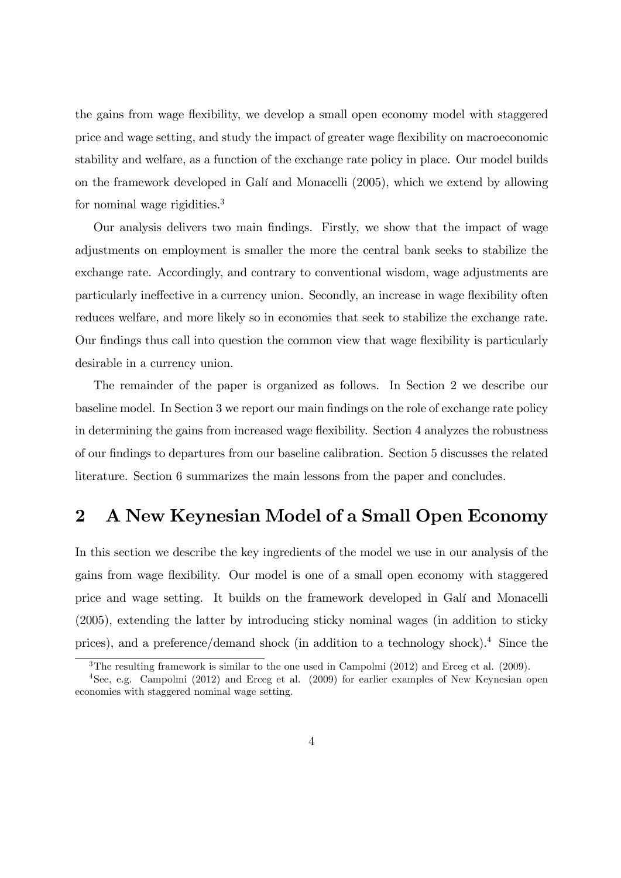the gains from wage flexibility, we develop a small open economy model with staggered price and wage setting, and study the impact of greater wage flexibility on macroeconomic stability and welfare, as a function of the exchange rate policy in place. Our model builds on the framework developed in GalÌ and Monacelli (2005), which we extend by allowing for nominal wage rigidities.<sup>3</sup>

Our analysis delivers two main Öndings. Firstly, we show that the impact of wage adjustments on employment is smaller the more the central bank seeks to stabilize the exchange rate. Accordingly, and contrary to conventional wisdom, wage adjustments are particularly ineffective in a currency union. Secondly, an increase in wage flexibility often reduces welfare, and more likely so in economies that seek to stabilize the exchange rate. Our findings thus call into question the common view that wage flexibility is particularly desirable in a currency union.

The remainder of the paper is organized as follows. In Section 2 we describe our baseline model. In Section 3 we report our main Öndings on the role of exchange rate policy in determining the gains from increased wage flexibility. Section 4 analyzes the robustness of our Öndings to departures from our baseline calibration. Section 5 discusses the related literature. Section 6 summarizes the main lessons from the paper and concludes.

### 2 A New Keynesian Model of a Small Open Economy

In this section we describe the key ingredients of the model we use in our analysis of the gains from wage áexibility. Our model is one of a small open economy with staggered price and wage setting. It builds on the framework developed in Galí and Monacelli (2005), extending the latter by introducing sticky nominal wages (in addition to sticky prices), and a preference/demand shock (in addition to a technology shock).<sup>4</sup> Since the

<sup>&</sup>lt;sup>3</sup>The resulting framework is similar to the one used in Campolmi (2012) and Erceg et al. (2009).

<sup>4</sup>See, e.g. Campolmi (2012) and Erceg et al. (2009) for earlier examples of New Keynesian open economies with staggered nominal wage setting.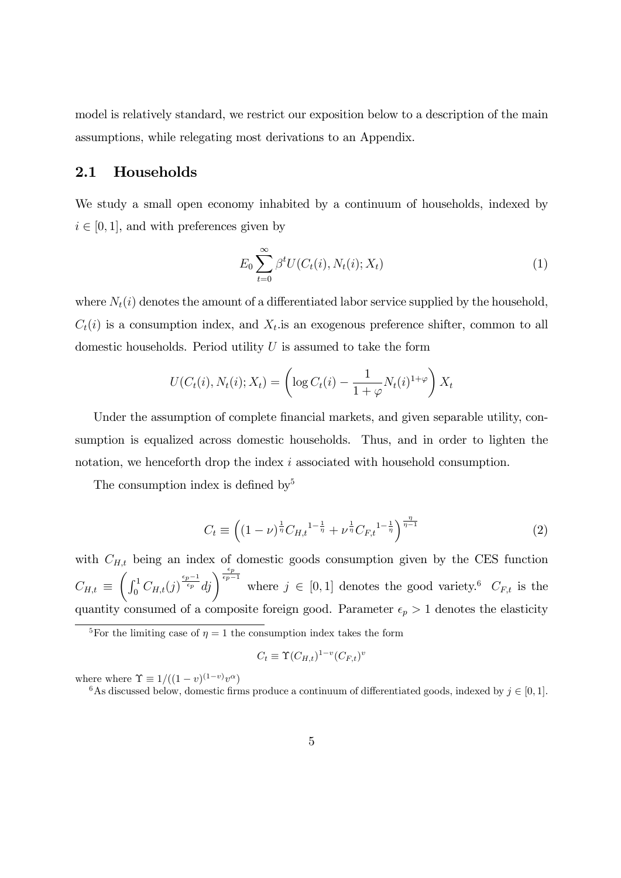model is relatively standard, we restrict our exposition below to a description of the main assumptions, while relegating most derivations to an Appendix.

### 2.1 Households

We study a small open economy inhabited by a continuum of households, indexed by  $i \in [0, 1]$ , and with preferences given by

$$
E_0 \sum_{t=0}^{\infty} \beta^t U(C_t(i), N_t(i); X_t)
$$
\n(1)

where  $N_t(i)$  denotes the amount of a differentiated labor service supplied by the household,  $C_t(i)$  is a consumption index, and  $X_t$  is an exogenous preference shifter, common to all domestic households. Period utility  $U$  is assumed to take the form

$$
U(C_t(i), N_t(i); X_t) = \left(\log C_t(i) - \frac{1}{1+\varphi} N_t(i)^{1+\varphi}\right) X_t
$$

Under the assumption of complete financial markets, and given separable utility, consumption is equalized across domestic households. Thus, and in order to lighten the notation, we henceforth drop the index i associated with household consumption.

The consumption index is defined by  $5$ 

$$
C_t \equiv \left( (1 - \nu)^{\frac{1}{\eta}} C_{H,t}^{1 - \frac{1}{\eta}} + \nu^{\frac{1}{\eta}} C_{F,t}^{1 - \frac{1}{\eta}} \right)^{\frac{\eta}{\eta - 1}}
$$
(2)

with  $C_{H,t}$  being an index of domestic goods consumption given by the CES function  $C_{H,t}$   $\equiv$  $\left(\int_0^1 C_{H,t}(j)^{\frac{\epsilon_p-1}{\epsilon_p}}dj\right)^{\frac{\epsilon_p}{\epsilon_p-1}}$  where  $j \in [0,1]$  denotes the good variety.<sup>6</sup>  $C_{F,t}$  is the quantity consumed of a composite foreign good. Parameter  $\epsilon_p > 1$  denotes the elasticity

$$
C_t \equiv \Upsilon(C_{H,t})^{1-v}(C_{F,t})^v
$$

where  $\Upsilon \equiv 1/((1-v)^{(1-v)}v^{\alpha})$ 

<sup>6</sup>As discussed below, domestic firms produce a continuum of differentiated goods, indexed by  $j \in [0, 1]$ .

<sup>&</sup>lt;sup>5</sup>For the limiting case of  $\eta = 1$  the consumption index takes the form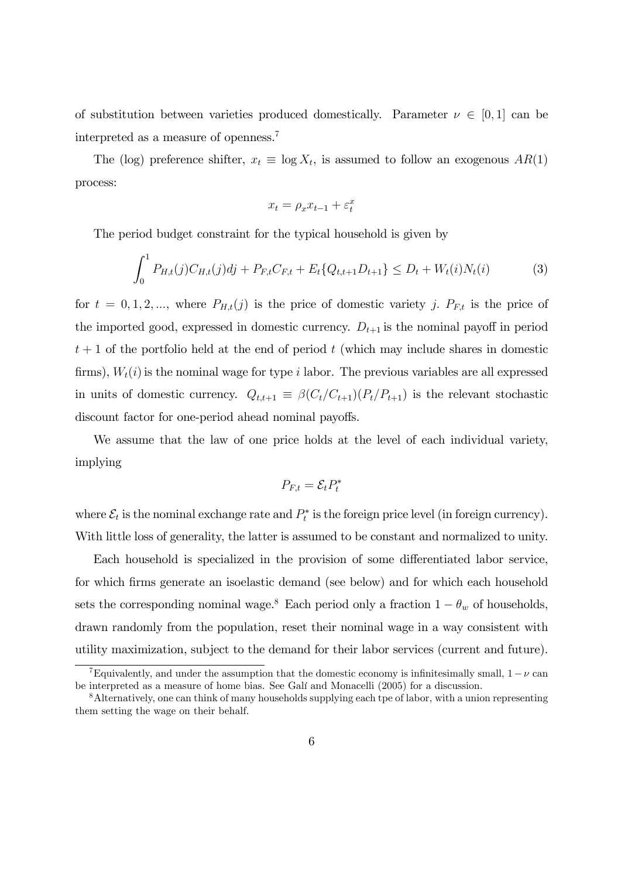of substitution between varieties produced domestically. Parameter  $\nu \in [0, 1]$  can be interpreted as a measure of openness.<sup>7</sup>

The (log) preference shifter,  $x_t \equiv \log X_t$ , is assumed to follow an exogenous  $AR(1)$ process:

$$
x_t = \rho_x x_{t-1} + \varepsilon_t^x
$$

The period budget constraint for the typical household is given by

$$
\int_0^1 P_{H,t}(j)C_{H,t}(j)dj + P_{F,t}C_{F,t} + E_t\{Q_{t,t+1}D_{t+1}\} \le D_t + W_t(i)N_t(i)
$$
(3)

for  $t = 0, 1, 2, \dots$ , where  $P_{H,t}(j)$  is the price of domestic variety j.  $P_{F,t}$  is the price of the imported good, expressed in domestic currency.  $D_{t+1}$  is the nominal payoff in period  $t + 1$  of the portfolio held at the end of period t (which may include shares in domestic firms),  $W_t(i)$  is the nominal wage for type i labor. The previous variables are all expressed in units of domestic currency.  $Q_{t,t+1} \equiv \beta(C_t/C_{t+1})(P_t/P_{t+1})$  is the relevant stochastic discount factor for one-period ahead nominal payoffs.

We assume that the law of one price holds at the level of each individual variety, implying

$$
P_{F,t} = \mathcal{E}_t P_t^*
$$

where  $\mathcal{E}_t$  is the nominal exchange rate and  $P_t^*$  is the foreign price level (in foreign currency). With little loss of generality, the latter is assumed to be constant and normalized to unity.

Each household is specialized in the provision of some differentiated labor service, for which firms generate an isoelastic demand (see below) and for which each household sets the corresponding nominal wage.<sup>8</sup> Each period only a fraction  $1 - \theta_w$  of households, drawn randomly from the population, reset their nominal wage in a way consistent with utility maximization, subject to the demand for their labor services (current and future).

<sup>&</sup>lt;sup>7</sup>Equivalently, and under the assumption that the domestic economy is infinitesimally small,  $1 - \nu$  can be interpreted as a measure of home bias. See Galí and Monacelli (2005) for a discussion.

<sup>8</sup>Alternatively, one can think of many households supplying each tpe of labor, with a union representing them setting the wage on their behalf.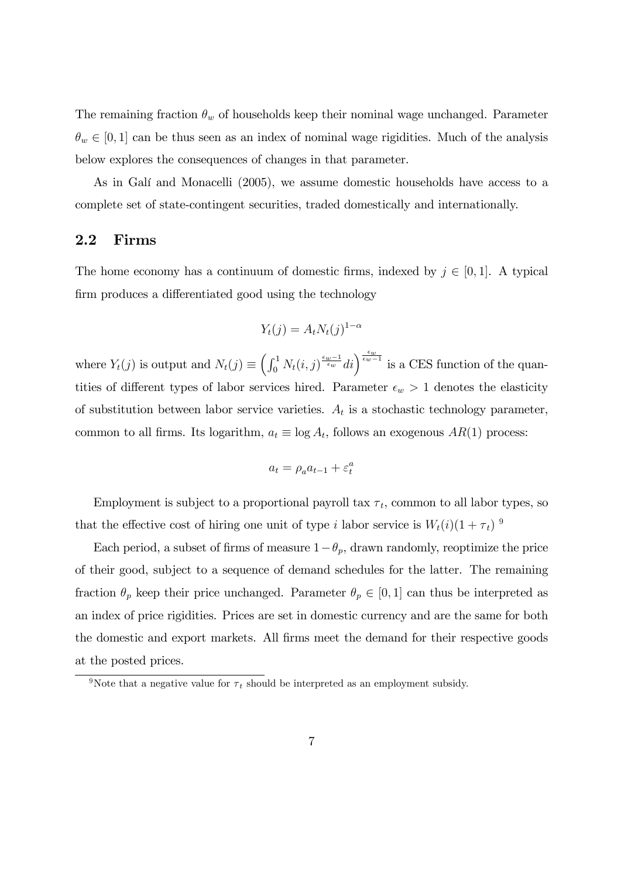The remaining fraction  $\theta_w$  of households keep their nominal wage unchanged. Parameter  $\theta_w \in [0, 1]$  can be thus seen as an index of nominal wage rigidities. Much of the analysis below explores the consequences of changes in that parameter.

As in Galí and Monacelli (2005), we assume domestic households have access to a complete set of state-contingent securities, traded domestically and internationally.

### 2.2 Firms

The home economy has a continuum of domestic firms, indexed by  $j \in [0, 1]$ . A typical firm produces a differentiated good using the technology

$$
Y_t(j) = A_t N_t(j)^{1-\alpha}
$$

where  $Y_t(j)$  is output and  $N_t(j) \equiv \left(\int_0^1 N_t(i,j) \frac{\epsilon_w - 1}{\epsilon_w - i} di\right)^{\frac{\epsilon_w}{\epsilon_w - 1}}$  is a CES function of the quantities of different types of labor services hired. Parameter  $\epsilon_w > 1$  denotes the elasticity of substitution between labor service varieties.  $A_t$  is a stochastic technology parameter, common to all firms. Its logarithm,  $a_t \equiv \log A_t$ , follows an exogenous  $AR(1)$  process:

$$
a_t = \rho_a a_{t-1} + \varepsilon_t^a
$$

Employment is subject to a proportional payroll tax  $\tau_t$ , common to all labor types, so that the effective cost of hiring one unit of type i labor service is  $W_t(i)(1 + \tau_t)^9$ 

Each period, a subset of firms of measure  $1-\theta_p$ , drawn randomly, reoptimize the price of their good, subject to a sequence of demand schedules for the latter. The remaining fraction  $\theta_p$  keep their price unchanged. Parameter  $\theta_p \in [0, 1]$  can thus be interpreted as an index of price rigidities. Prices are set in domestic currency and are the same for both the domestic and export markets. All firms meet the demand for their respective goods at the posted prices.

<sup>&</sup>lt;sup>9</sup>Note that a negative value for  $\tau_t$  should be interpreted as an employment subsidy.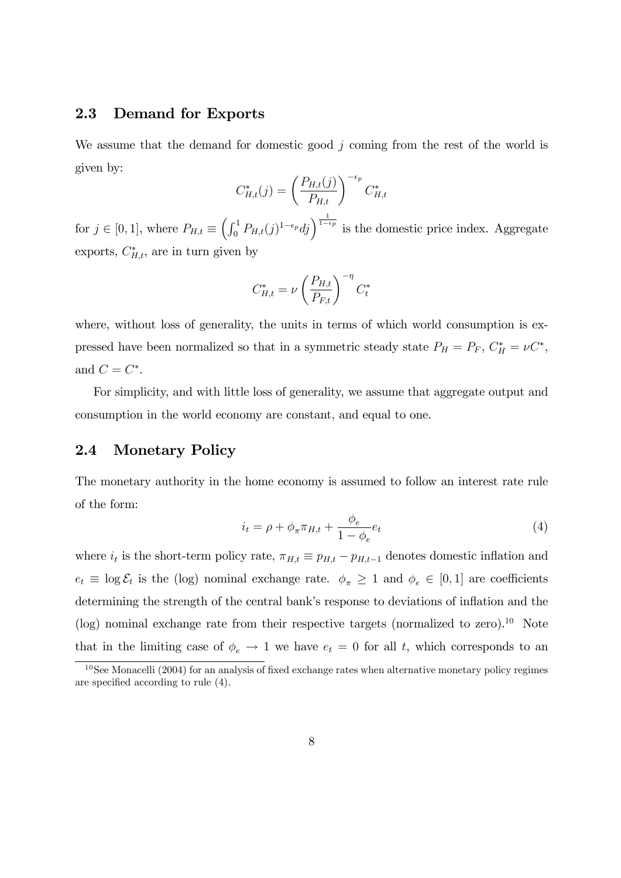### 2.3 Demand for Exports

We assume that the demand for domestic good  $j$  coming from the rest of the world is given by:

$$
C_{H,t}^*(j) = \left(\frac{P_{H,t}(j)}{P_{H,t}}\right)^{-\epsilon_p} C_{H,t}^*
$$

for  $j \in [0, 1]$ , where  $P_{H,t} \equiv \left( \int_0^1 P_{H,t}(j)^{1-\epsilon_p} dj \right)^{\frac{1}{1-\epsilon_p}}$  is the domestic price index. Aggregate exports,  $C_{H,t}^*$ , are in turn given by

$$
C_{H,t}^* = \nu \left(\frac{P_{H,t}}{P_{F,t}}\right)^{-\eta} C_t^*
$$

where, without loss of generality, the units in terms of which world consumption is expressed have been normalized so that in a symmetric steady state  $P_H = P_F$ ,  $C_H^* = \nu C^*$ , and  $C = C^*$ .

For simplicity, and with little loss of generality, we assume that aggregate output and consumption in the world economy are constant, and equal to one.

### 2.4 Monetary Policy

The monetary authority in the home economy is assumed to follow an interest rate rule of the form:

$$
i_t = \rho + \phi_\pi \pi_{H,t} + \frac{\phi_e}{1 - \phi_e} e_t \tag{4}
$$

where  $i_t$  is the short-term policy rate,  $\pi_{H,t} \equiv p_{H,t} - p_{H,t-1}$  denotes domestic inflation and  $e_t \equiv \log \mathcal{E}_t$  is the (log) nominal exchange rate.  $\phi_{\pi} \geq 1$  and  $\phi_e \in [0, 1]$  are coefficients determining the strength of the central bank's response to deviations of inflation and the (log) nominal exchange rate from their respective targets (normalized to zero).<sup>10</sup> Note that in the limiting case of  $\phi_e \to 1$  we have  $e_t = 0$  for all t, which corresponds to an

 $10$ See Monacelli (2004) for an analysis of fixed exchange rates when alternative monetary policy regimes are specified according to rule  $(4)$ .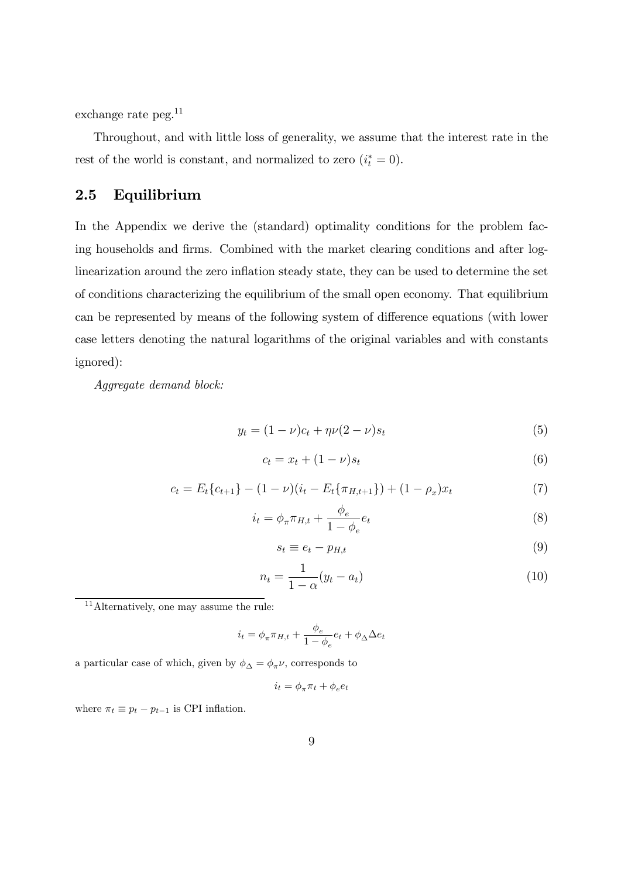exchange rate peg.<sup>11</sup>

Throughout, and with little loss of generality, we assume that the interest rate in the rest of the world is constant, and normalized to zero  $(i_t^* = 0)$ .

### 2.5 Equilibrium

In the Appendix we derive the (standard) optimality conditions for the problem facing households and firms. Combined with the market clearing conditions and after loglinearization around the zero inflation steady state, they can be used to determine the set of conditions characterizing the equilibrium of the small open economy. That equilibrium can be represented by means of the following system of difference equations (with lower case letters denoting the natural logarithms of the original variables and with constants ignored):

Aggregate demand block:

$$
y_t = (1 - \nu)c_t + \eta \nu (2 - \nu)s_t
$$
\n(5)

$$
c_t = x_t + (1 - \nu)s_t \tag{6}
$$

$$
c_t = E_t \{c_{t+1}\} - (1 - \nu)(i_t - E_t \{\pi_{H,t+1}\}) + (1 - \rho_x)x_t \tag{7}
$$

$$
i_t = \phi_\pi \pi_{H,t} + \frac{\phi_e}{1 - \phi_e} e_t \tag{8}
$$

$$
s_t \equiv e_t - p_{H,t} \tag{9}
$$

$$
n_t = \frac{1}{1 - \alpha}(y_t - a_t) \tag{10}
$$

<sup>11</sup> Alternatively, one may assume the rule:

$$
i_t = \phi_\pi \pi_{H,t} + \frac{\phi_e}{1 - \phi_e} e_t + \phi_\Delta \Delta e_t
$$

a particular case of which, given by  $\phi_\Delta = \phi_\pi \nu,$  corresponds to

$$
i_t = \phi_\pi \pi_t + \phi_e e_t
$$

where  $\pi_t \equiv p_t - p_{t-1}$  is CPI inflation.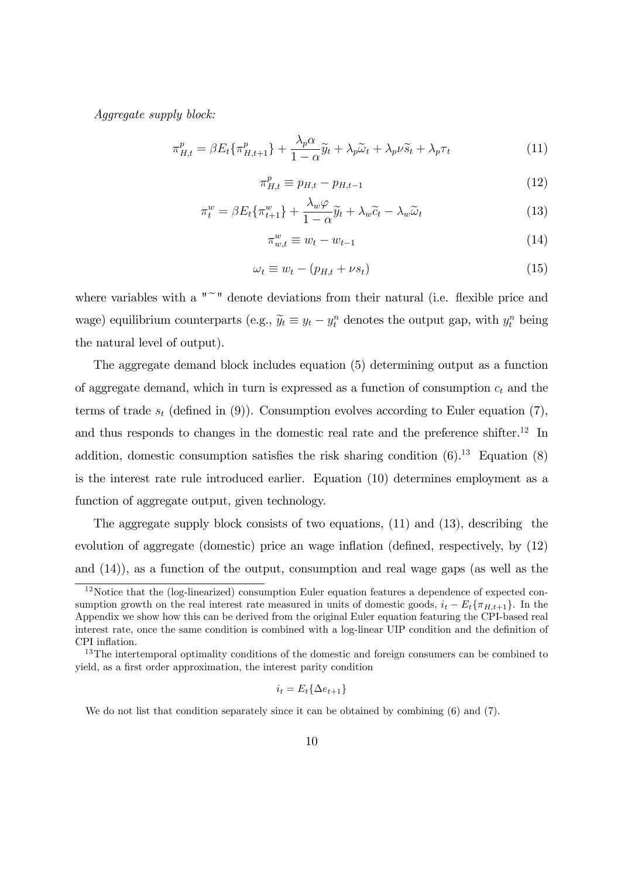Aggregate supply block:

$$
\pi_{H,t}^p = \beta E_t \{ \pi_{H,t+1}^p \} + \frac{\lambda_p \alpha}{1 - \alpha} \tilde{y}_t + \lambda_p \tilde{\omega}_t + \lambda_p \nu \tilde{s}_t + \lambda_p \tau_t \tag{11}
$$

$$
\pi_{H,t}^p \equiv p_{H,t} - p_{H,t-1} \tag{12}
$$

$$
\pi_t^w = \beta E_t \{\pi_{t+1}^w\} + \frac{\lambda_w \varphi}{1 - \alpha} \widetilde{y}_t + \lambda_w \widetilde{c}_t - \lambda_w \widetilde{\omega}_t \tag{13}
$$

$$
\pi_{w,t}^w \equiv w_t - w_{t-1} \tag{14}
$$

$$
\omega_t \equiv w_t - (p_{H,t} + \nu s_t) \tag{15}
$$

where variables with a  $"''$  denote deviations from their natural (i.e. flexible price and wage) equilibrium counterparts (e.g.,  $\tilde{y}_t \equiv y_t - y_t^n$  denotes the output gap, with  $y_t^n$  being the natural level of output).

The aggregate demand block includes equation (5) determining output as a function of aggregate demand, which in turn is expressed as a function of consumption  $c_t$  and the terms of trade  $s_t$  (defined in (9)). Consumption evolves according to Euler equation (7), and thus responds to changes in the domestic real rate and the preference shifter.<sup>12</sup> In addition, domestic consumption satisfies the risk sharing condition  $(6)$ .<sup>13</sup> Equation  $(8)$ is the interest rate rule introduced earlier. Equation (10) determines employment as a function of aggregate output, given technology.

The aggregate supply block consists of two equations, (11) and (13), describing the evolution of aggregate (domestic) price an wage inflation (defined, respectively, by  $(12)$ and (14)), as a function of the output, consumption and real wage gaps (as well as the

$$
i_t = E_t \{ \Delta e_{t+1} \}
$$

We do not list that condition separately since it can be obtained by combining  $(6)$  and  $(7)$ .

<sup>&</sup>lt;sup>12</sup>Notice that the (log-linearized) consumption Euler equation features a dependence of expected consumption growth on the real interest rate measured in units of domestic goods,  $i_t - E_t\{\pi_{H,t+1}\}\.$  In the Appendix we show how this can be derived from the original Euler equation featuring the CPI-based real interest rate, once the same condition is combined with a log-linear UIP condition and the definition of CPI inflation.

<sup>&</sup>lt;sup>13</sup>The intertemporal optimality conditions of the domestic and foreign consumers can be combined to yield, as a first order approximation, the interest parity condition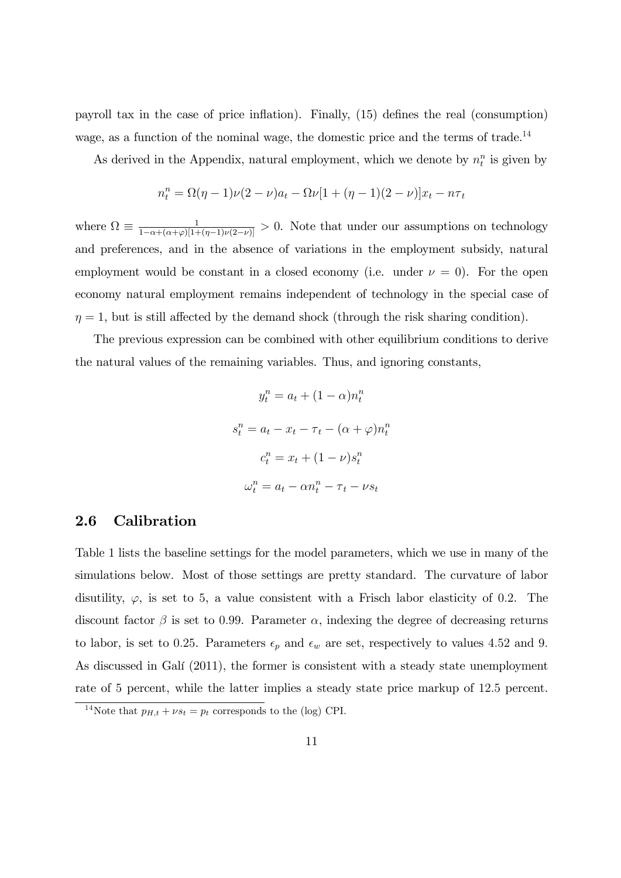payroll tax in the case of price inflation). Finally,  $(15)$  defines the real (consumption) wage, as a function of the nominal wage, the domestic price and the terms of trade.<sup>14</sup>

As derived in the Appendix, natural employment, which we denote by  $n_t^n$  is given by

$$
n_t^n = \Omega(\eta - 1)\nu(2 - \nu)a_t - \Omega\nu[1 + (\eta - 1)(2 - \nu)]x_t - n\tau_t
$$

where  $\Omega \equiv \frac{1}{1-\alpha+(\alpha+\varphi)[1+(\eta-1)\nu(2-\nu)]} > 0$ . Note that under our assumptions on technology and preferences, and in the absence of variations in the employment subsidy, natural employment would be constant in a closed economy (i.e. under  $\nu = 0$ ). For the open economy natural employment remains independent of technology in the special case of  $\eta = 1$ , but is still affected by the demand shock (through the risk sharing condition).

The previous expression can be combined with other equilibrium conditions to derive the natural values of the remaining variables. Thus, and ignoring constants,

$$
y_t^n = a_t + (1 - \alpha)n_t^n
$$

$$
s_t^n = a_t - x_t - \tau_t - (\alpha + \varphi)n_t^n
$$

$$
c_t^n = x_t + (1 - \nu)s_t^n
$$

$$
\omega_t^n = a_t - \alpha n_t^n - \tau_t - \nu s_t
$$

### 2.6 Calibration

Table 1 lists the baseline settings for the model parameters, which we use in many of the simulations below. Most of those settings are pretty standard. The curvature of labor disutility,  $\varphi$ , is set to 5, a value consistent with a Frisch labor elasticity of 0.2. The discount factor  $\beta$  is set to 0.99. Parameter  $\alpha$ , indexing the degree of decreasing returns to labor, is set to 0.25. Parameters  $\epsilon_p$  and  $\epsilon_w$  are set, respectively to values 4.52 and 9. As discussed in Galí (2011), the former is consistent with a steady state unemployment rate of 5 percent, while the latter implies a steady state price markup of 12:5 percent.

<sup>&</sup>lt;sup>14</sup>Note that  $p_{H,t} + \nu s_t = p_t$  corresponds to the (log) CPI.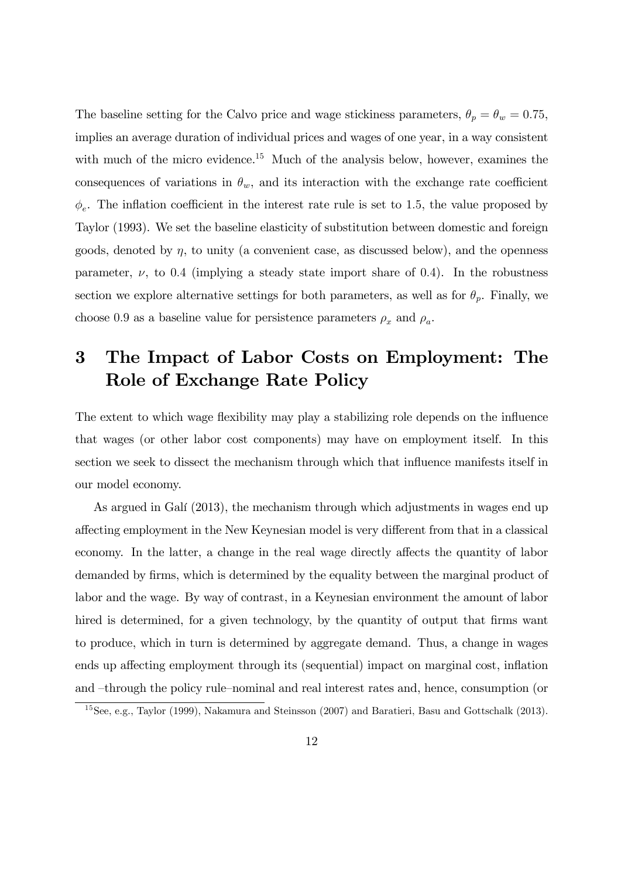The baseline setting for the Calvo price and wage stickiness parameters,  $\theta_p = \theta_w = 0.75$ , implies an average duration of individual prices and wages of one year, in a way consistent with much of the micro evidence.<sup>15</sup> Much of the analysis below, however, examines the consequences of variations in  $\theta_w$ , and its interaction with the exchange rate coefficient  $\phi_e$ . The inflation coefficient in the interest rate rule is set to 1.5, the value proposed by Taylor (1993). We set the baseline elasticity of substitution between domestic and foreign goods, denoted by  $\eta$ , to unity (a convenient case, as discussed below), and the openness parameter,  $\nu$ , to 0.4 (implying a steady state import share of 0.4). In the robustness section we explore alternative settings for both parameters, as well as for  $\theta_p$ . Finally, we choose 0.9 as a baseline value for persistence parameters  $\rho_x$  and  $\rho_a$ .

# 3 The Impact of Labor Costs on Employment: The Role of Exchange Rate Policy

The extent to which wage flexibility may play a stabilizing role depends on the influence that wages (or other labor cost components) may have on employment itself. In this section we seek to dissect the mechanism through which that influence manifests itself in our model economy.

As argued in Galí (2013), the mechanism through which adjustments in wages end up affecting employment in the New Keynesian model is very different from that in a classical economy. In the latter, a change in the real wage directly affects the quantity of labor demanded by firms, which is determined by the equality between the marginal product of labor and the wage. By way of contrast, in a Keynesian environment the amount of labor hired is determined, for a given technology, by the quantity of output that firms want to produce, which in turn is determined by aggregate demand. Thus, a change in wages ends up affecting employment through its (sequential) impact on marginal cost, inflation and -through the policy rule-nominal and real interest rates and, hence, consumption (or

<sup>15</sup>See, e.g., Taylor (1999), Nakamura and Steinsson (2007) and Baratieri, Basu and Gottschalk (2013).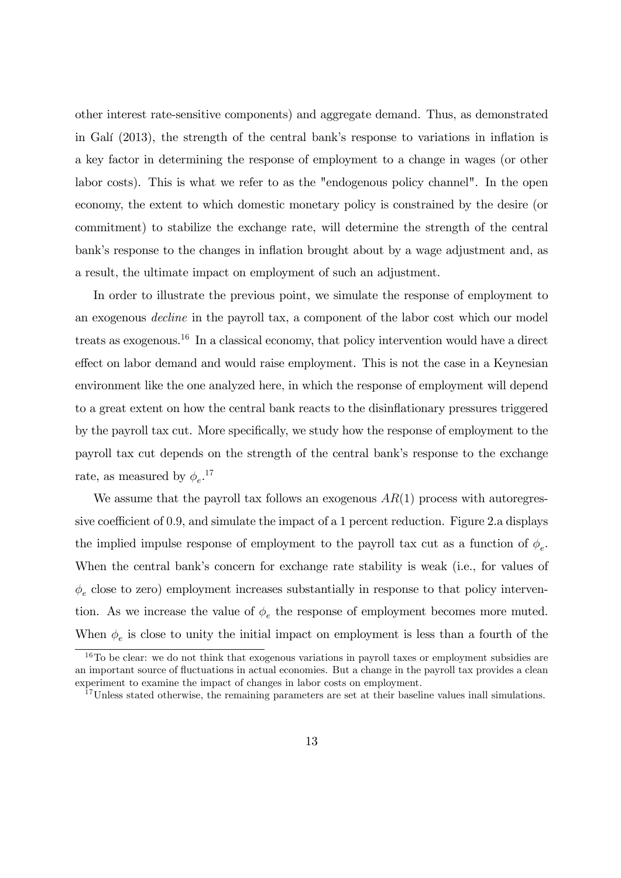other interest rate-sensitive components) and aggregate demand. Thus, as demonstrated in Galí  $(2013)$ , the strength of the central bank's response to variations in inflation is a key factor in determining the response of employment to a change in wages (or other labor costs). This is what we refer to as the "endogenous policy channel". In the open economy, the extent to which domestic monetary policy is constrained by the desire (or commitment) to stabilize the exchange rate, will determine the strength of the central bank's response to the changes in inflation brought about by a wage adjustment and, as a result, the ultimate impact on employment of such an adjustment.

In order to illustrate the previous point, we simulate the response of employment to an exogenous decline in the payroll tax, a component of the labor cost which our model treats as exogenous.<sup>16</sup> In a classical economy, that policy intervention would have a direct effect on labor demand and would raise employment. This is not the case in a Keynesian environment like the one analyzed here, in which the response of employment will depend to a great extent on how the central bank reacts to the disináationary pressures triggered by the payroll tax cut. More specifically, we study how the response of employment to the payroll tax cut depends on the strength of the central bankís response to the exchange rate, as measured by  $\phi_e$ .<sup>17</sup>

We assume that the payroll tax follows an exogenous  $AR(1)$  process with autoregressive coefficient of 0.9, and simulate the impact of a 1 percent reduction. Figure 2.a displays the implied impulse response of employment to the payroll tax cut as a function of  $\phi_e$ . When the central bank's concern for exchange rate stability is weak (i.e., for values of  $\phi_e$  close to zero) employment increases substantially in response to that policy intervention. As we increase the value of  $\phi_e$  the response of employment becomes more muted. When  $\phi_e$  is close to unity the initial impact on employment is less than a fourth of the

 $16T$ o be clear: we do not think that exogenous variations in payroll taxes or employment subsidies are an important source of fluctuations in actual economies. But a change in the payroll tax provides a clean experiment to examine the impact of changes in labor costs on employment.

<sup>&</sup>lt;sup>17</sup>Unless stated otherwise, the remaining parameters are set at their baseline values inall simulations.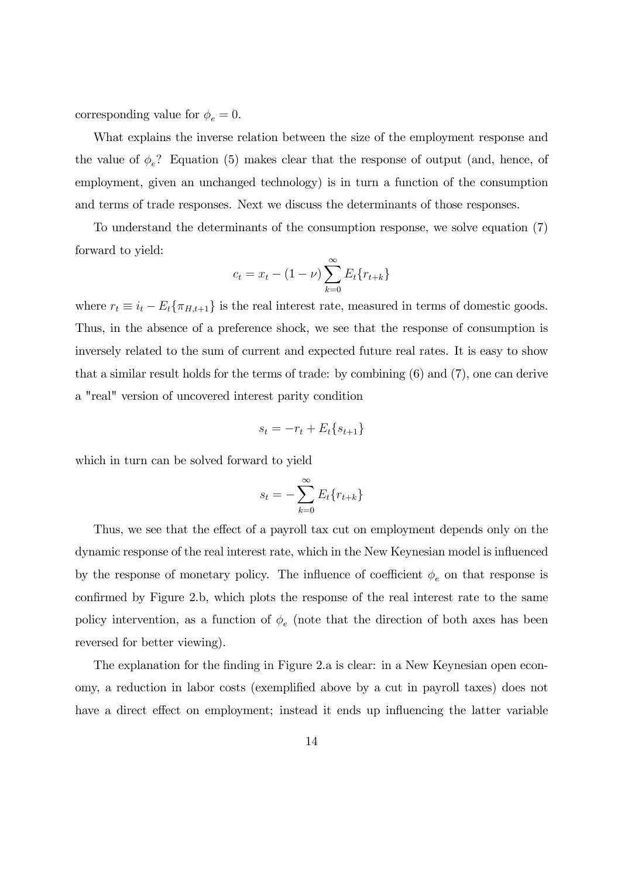corresponding value for  $\phi_e = 0$ .

What explains the inverse relation between the size of the employment response and the value of  $\phi_e$ ? Equation (5) makes clear that the response of output (and, hence, of employment, given an unchanged technology) is in turn a function of the consumption and terms of trade responses. Next we discuss the determinants of those responses.

To understand the determinants of the consumption response, we solve equation (7) forward to yield:

$$
c_t = x_t - (1 - \nu) \sum_{k=0}^{\infty} E_t \{r_{t+k}\}\
$$

where  $r_t \equiv i_t - E_t\{\pi_{H,t+1}\}\$ is the real interest rate, measured in terms of domestic goods. Thus, in the absence of a preference shock, we see that the response of consumption is inversely related to the sum of current and expected future real rates. It is easy to show that a similar result holds for the terms of trade: by combining (6) and (7), one can derive a "real" version of uncovered interest parity condition

$$
s_t = -r_t + E_t \{ s_{t+1} \}
$$

which in turn can be solved forward to yield

$$
s_t = -\sum_{k=0}^{\infty} E_t \{r_{t+k}\}
$$

Thus, we see that the effect of a payroll tax cut on employment depends only on the dynamic response of the real interest rate, which in the New Keynesian model is ináuenced by the response of monetary policy. The influence of coefficient  $\phi_e$  on that response is confirmed by Figure 2.b, which plots the response of the real interest rate to the same policy intervention, as a function of  $\phi_e$  (note that the direction of both axes has been reversed for better viewing).

The explanation for the finding in Figure 2.a is clear: in a New Keynesian open economy, a reduction in labor costs (exemplified above by a cut in payroll taxes) does not have a direct effect on employment; instead it ends up influencing the latter variable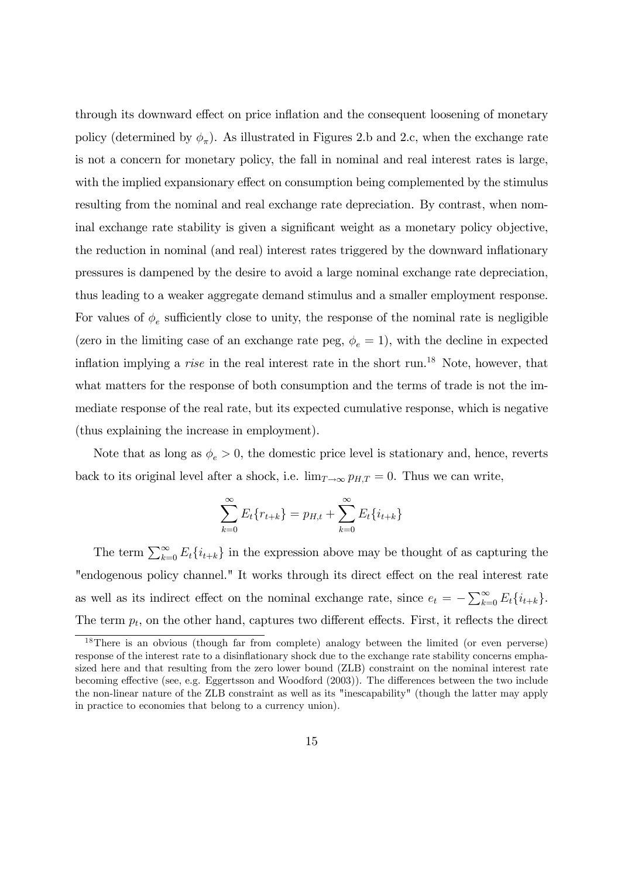through its downward effect on price inflation and the consequent loosening of monetary policy (determined by  $\phi_{\pi}$ ). As illustrated in Figures 2.b and 2.c, when the exchange rate is not a concern for monetary policy, the fall in nominal and real interest rates is large, with the implied expansionary effect on consumption being complemented by the stimulus resulting from the nominal and real exchange rate depreciation. By contrast, when nominal exchange rate stability is given a significant weight as a monetary policy objective, the reduction in nominal (and real) interest rates triggered by the downward inflationary pressures is dampened by the desire to avoid a large nominal exchange rate depreciation, thus leading to a weaker aggregate demand stimulus and a smaller employment response. For values of  $\phi_e$  sufficiently close to unity, the response of the nominal rate is negligible (zero in the limiting case of an exchange rate peg,  $\phi_e = 1$ ), with the decline in expected inflation implying a *rise* in the real interest rate in the short run.<sup>18</sup> Note, however, that what matters for the response of both consumption and the terms of trade is not the immediate response of the real rate, but its expected cumulative response, which is negative (thus explaining the increase in employment).

Note that as long as  $\phi_e > 0$ , the domestic price level is stationary and, hence, reverts back to its original level after a shock, i.e.  $\lim_{T \to \infty} p_{H,T} = 0$ . Thus we can write,

$$
\sum_{k=0}^{\infty} E_t \{r_{t+k}\} = p_{H,t} + \sum_{k=0}^{\infty} E_t \{i_{t+k}\}\
$$

The term  $\sum_{k=0}^{\infty} E_t\{i_{t+k}\}\$  in the expression above may be thought of as capturing the "endogenous policy channel." It works through its direct effect on the real interest rate as well as its indirect effect on the nominal exchange rate, since  $e_t = -\sum_{k=0}^{\infty} E_t \{i_{t+k}\}.$ The term  $p_t$ , on the other hand, captures two different effects. First, it reflects the direct

<sup>&</sup>lt;sup>18</sup>There is an obvious (though far from complete) analogy between the limited (or even perverse) response of the interest rate to a disinflationary shock due to the exchange rate stability concerns emphasized here and that resulting from the zero lower bound (ZLB) constraint on the nominal interest rate becoming effective (see, e.g. Eggertsson and Woodford (2003)). The differences between the two include the non-linear nature of the ZLB constraint as well as its "inescapability" (though the latter may apply in practice to economies that belong to a currency union).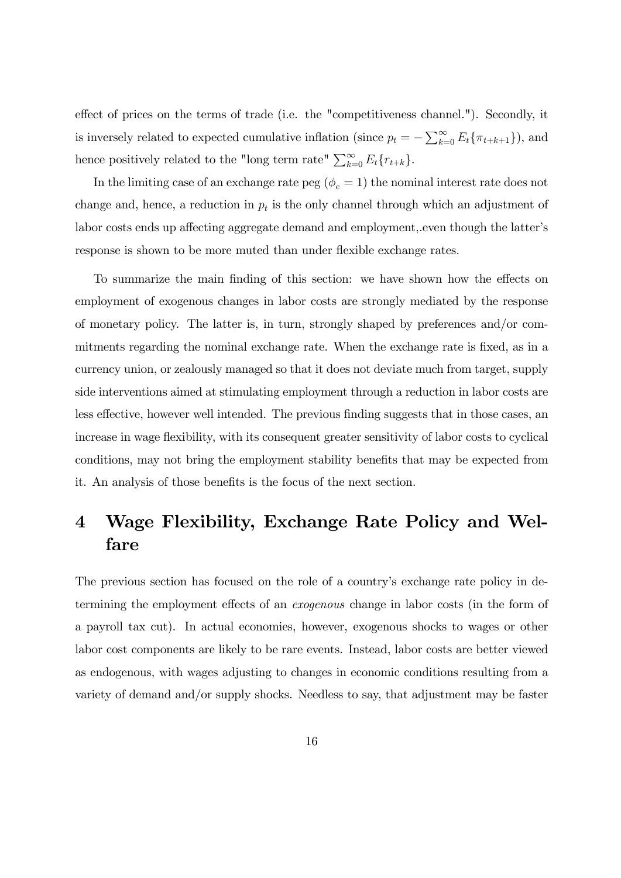effect of prices on the terms of trade (i.e. the "competitiveness channel."). Secondly, it is inversely related to expected cumulative inflation (since  $p_t = -\sum_{k=0}^{\infty} E_t \{\pi_{t+k+1}\}\)$ , and hence positively related to the "long term rate"  $\sum_{k=0}^{\infty} E_t\{r_{t+k}\}.$ 

In the limiting case of an exchange rate peg ( $\phi_e = 1$ ) the nominal interest rate does not change and, hence, a reduction in  $p_t$  is the only channel through which an adjustment of labor costs ends up affecting aggregate demand and employment, even though the latter's response is shown to be more muted than under flexible exchange rates.

To summarize the main finding of this section: we have shown how the effects on employment of exogenous changes in labor costs are strongly mediated by the response of monetary policy. The latter is, in turn, strongly shaped by preferences and/or commitments regarding the nominal exchange rate. When the exchange rate is fixed, as in a currency union, or zealously managed so that it does not deviate much from target, supply side interventions aimed at stimulating employment through a reduction in labor costs are less effective, however well intended. The previous finding suggests that in those cases, an increase in wage flexibility, with its consequent greater sensitivity of labor costs to cyclical conditions, may not bring the employment stability benefits that may be expected from it. An analysis of those benefits is the focus of the next section.

## 4 Wage Flexibility, Exchange Rate Policy and Welfare

The previous section has focused on the role of a country's exchange rate policy in determining the employment effects of an *exogenous* change in labor costs (in the form of a payroll tax cut). In actual economies, however, exogenous shocks to wages or other labor cost components are likely to be rare events. Instead, labor costs are better viewed as endogenous, with wages adjusting to changes in economic conditions resulting from a variety of demand and/or supply shocks. Needless to say, that adjustment may be faster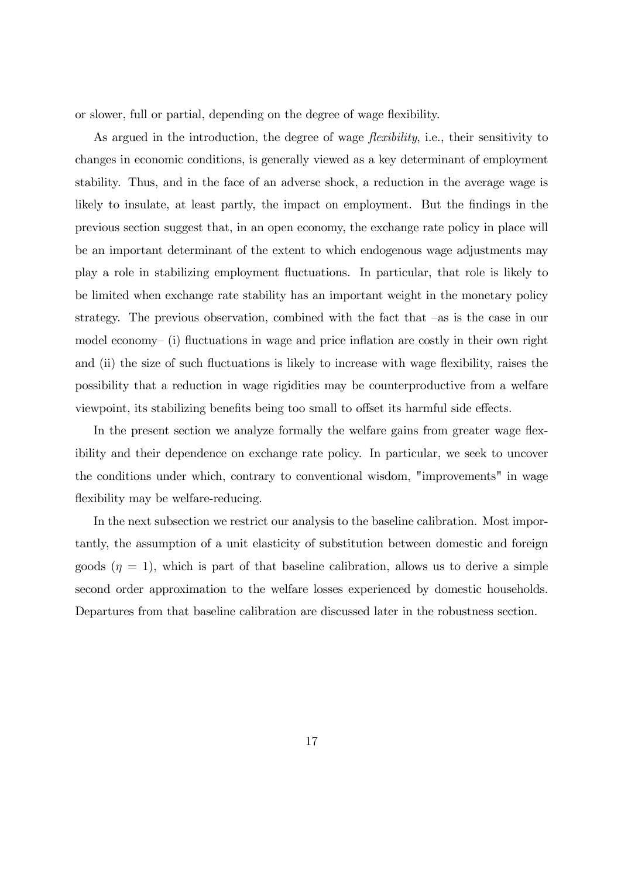or slower, full or partial, depending on the degree of wage flexibility.

As argued in the introduction, the degree of wage *flexibility*, i.e., their sensitivity to changes in economic conditions, is generally viewed as a key determinant of employment stability. Thus, and in the face of an adverse shock, a reduction in the average wage is likely to insulate, at least partly, the impact on employment. But the findings in the previous section suggest that, in an open economy, the exchange rate policy in place will be an important determinant of the extent to which endogenous wage adjustments may play a role in stabilizing employment áuctuations. In particular, that role is likely to be limited when exchange rate stability has an important weight in the monetary policy strategy. The previous observation, combined with the fact that  $-\text{as}$  is the case in our model economy– $(i)$  fluctuations in wage and price inflation are costly in their own right and (ii) the size of such fluctuations is likely to increase with wage flexibility, raises the possibility that a reduction in wage rigidities may be counterproductive from a welfare viewpoint, its stabilizing benefits being too small to offset its harmful side effects.

In the present section we analyze formally the welfare gains from greater wage flexibility and their dependence on exchange rate policy. In particular, we seek to uncover the conditions under which, contrary to conventional wisdom, "improvements" in wage flexibility may be welfare-reducing.

In the next subsection we restrict our analysis to the baseline calibration. Most importantly, the assumption of a unit elasticity of substitution between domestic and foreign goods  $(\eta = 1)$ , which is part of that baseline calibration, allows us to derive a simple second order approximation to the welfare losses experienced by domestic households. Departures from that baseline calibration are discussed later in the robustness section.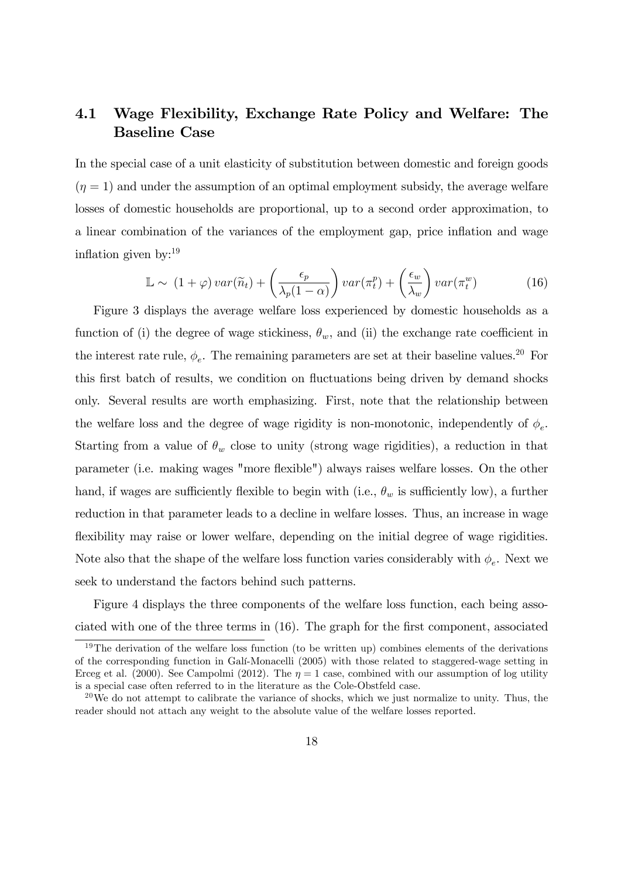### 4.1 Wage Flexibility, Exchange Rate Policy and Welfare: The Baseline Case

In the special case of a unit elasticity of substitution between domestic and foreign goods  $(\eta = 1)$  and under the assumption of an optimal employment subsidy, the average welfare losses of domestic households are proportional, up to a second order approximation, to a linear combination of the variances of the employment gap, price ináation and wage inflation given by: $^{19}$ 

$$
\mathbb{L} \sim (1+\varphi) \, var(\widetilde{n}_t) + \left(\frac{\epsilon_p}{\lambda_p(1-\alpha)}\right) var(\pi_t^p) + \left(\frac{\epsilon_w}{\lambda_w}\right) var(\pi_t^w) \tag{16}
$$

Figure 3 displays the average welfare loss experienced by domestic households as a function of (i) the degree of wage stickiness,  $\theta_w$ , and (ii) the exchange rate coefficient in the interest rate rule,  $\phi_e$ . The remaining parameters are set at their baseline values.<sup>20</sup> For this first batch of results, we condition on fluctuations being driven by demand shocks only. Several results are worth emphasizing. First, note that the relationship between the welfare loss and the degree of wage rigidity is non-monotonic, independently of  $\phi_e$ . Starting from a value of  $\theta_w$  close to unity (strong wage rigidities), a reduction in that parameter (i.e. making wages "more áexible") always raises welfare losses. On the other hand, if wages are sufficiently flexible to begin with (i.e.,  $\theta_w$  is sufficiently low), a further reduction in that parameter leads to a decline in welfare losses. Thus, an increase in wage flexibility may raise or lower welfare, depending on the initial degree of wage rigidities. Note also that the shape of the welfare loss function varies considerably with  $\phi_e$ . Next we seek to understand the factors behind such patterns.

Figure 4 displays the three components of the welfare loss function, each being associated with one of the three terms in  $(16)$ . The graph for the first component, associated

<sup>&</sup>lt;sup>19</sup>The derivation of the welfare loss function (to be written up) combines elements of the derivations of the corresponding function in GalÌ-Monacelli (2005) with those related to staggered-wage setting in Erceg et al. (2000). See Campolmi (2012). The  $\eta = 1$  case, combined with our assumption of log utility is a special case often referred to in the literature as the Cole-Obstfeld case.

 $^{20}$ We do not attempt to calibrate the variance of shocks, which we just normalize to unity. Thus, the reader should not attach any weight to the absolute value of the welfare losses reported.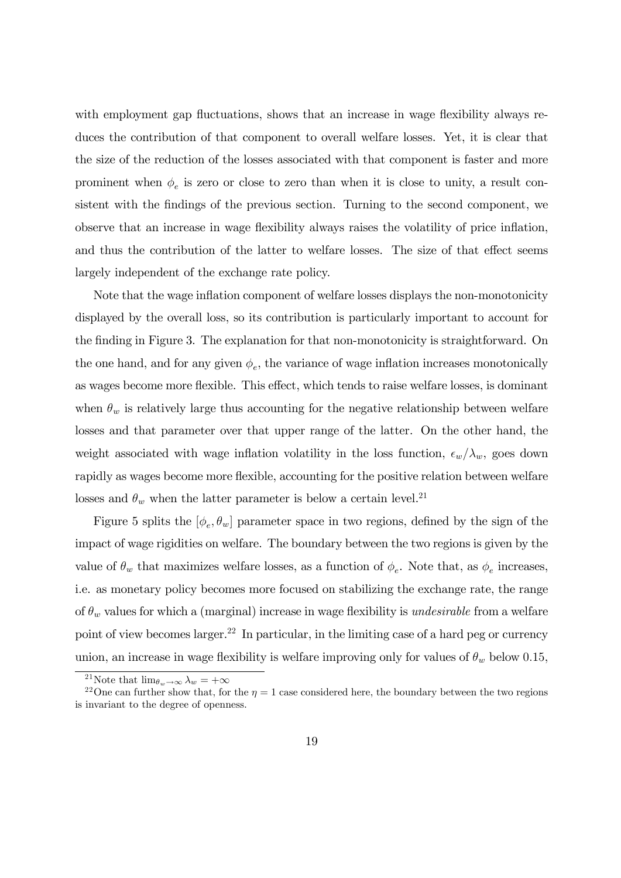with employment gap fluctuations, shows that an increase in wage flexibility always reduces the contribution of that component to overall welfare losses. Yet, it is clear that the size of the reduction of the losses associated with that component is faster and more prominent when  $\phi_e$  is zero or close to zero than when it is close to unity, a result consistent with the findings of the previous section. Turning to the second component, we observe that an increase in wage flexibility always raises the volatility of price inflation, and thus the contribution of the latter to welfare losses. The size of that effect seems largely independent of the exchange rate policy.

Note that the wage inflation component of welfare losses displays the non-monotonicity displayed by the overall loss, so its contribution is particularly important to account for the finding in Figure 3. The explanation for that non-monotonicity is straightforward. On the one hand, and for any given  $\phi_e$ , the variance of wage inflation increases monotonically as wages become more flexible. This effect, which tends to raise welfare losses, is dominant when  $\theta_w$  is relatively large thus accounting for the negative relationship between welfare losses and that parameter over that upper range of the latter. On the other hand, the weight associated with wage inflation volatility in the loss function,  $\epsilon_w/\lambda_w$ , goes down rapidly as wages become more flexible, accounting for the positive relation between welfare losses and  $\theta_w$  when the latter parameter is below a certain level.<sup>21</sup>

Figure 5 splits the  $[\phi_e, \theta_w]$  parameter space in two regions, defined by the sign of the impact of wage rigidities on welfare. The boundary between the two regions is given by the value of  $\theta_w$  that maximizes welfare losses, as a function of  $\phi_e$ . Note that, as  $\phi_e$  increases, i.e. as monetary policy becomes more focused on stabilizing the exchange rate, the range of  $\theta_w$  values for which a (marginal) increase in wage flexibility is *undesirable* from a welfare point of view becomes larger.<sup>22</sup> In particular, in the limiting case of a hard peg or currency union, an increase in wage flexibility is welfare improving only for values of  $\theta_w$  below 0.15,

<sup>&</sup>lt;sup>21</sup>Note that  $\lim_{\theta_w \to \infty} \lambda_w = +\infty$ 

<sup>&</sup>lt;sup>22</sup>One can further show that, for the  $\eta = 1$  case considered here, the boundary between the two regions is invariant to the degree of openness.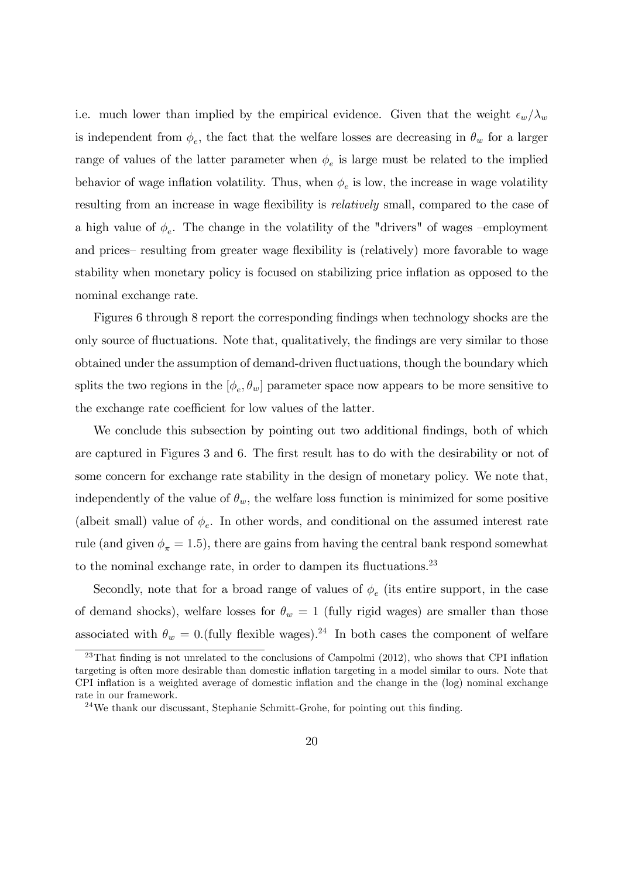i.e. much lower than implied by the empirical evidence. Given that the weight  $\epsilon_w/\lambda_w$ is independent from  $\phi_e$ , the fact that the welfare losses are decreasing in  $\theta_w$  for a larger range of values of the latter parameter when  $\phi_e$  is large must be related to the implied behavior of wage inflation volatility. Thus, when  $\phi_e$  is low, the increase in wage volatility resulting from an increase in wage flexibility is *relatively* small, compared to the case of a high value of  $\phi_e$ . The change in the volatility of the "drivers" of wages -employment and prices—resulting from greater wage flexibility is (relatively) more favorable to wage stability when monetary policy is focused on stabilizing price ináation as opposed to the nominal exchange rate.

Figures 6 through 8 report the corresponding findings when technology shocks are the only source of fluctuations. Note that, qualitatively, the findings are very similar to those obtained under the assumption of demand-driven fluctuations, though the boundary which splits the two regions in the  $[\phi_e, \theta_w]$  parameter space now appears to be more sensitive to the exchange rate coefficient for low values of the latter.

We conclude this subsection by pointing out two additional findings, both of which are captured in Figures 3 and 6. The first result has to do with the desirability or not of some concern for exchange rate stability in the design of monetary policy. We note that, independently of the value of  $\theta_w$ , the welfare loss function is minimized for some positive (albeit small) value of  $\phi_e$ . In other words, and conditional on the assumed interest rate rule (and given  $\phi_{\pi} = 1.5$ ), there are gains from having the central bank respond somewhat to the nominal exchange rate, in order to dampen its fluctuations. $23$ 

Secondly, note that for a broad range of values of  $\phi_e$  (its entire support, in the case of demand shocks), welfare losses for  $\theta_w = 1$  (fully rigid wages) are smaller than those associated with  $\theta_w = 0$ .(fully flexible wages).<sup>24</sup> In both cases the component of welfare

 $^{23}$ That finding is not unrelated to the conclusions of Campolmi (2012), who shows that CPI inflation targeting is often more desirable than domestic inflation targeting in a model similar to ours. Note that CPI inflation is a weighted average of domestic inflation and the change in the (log) nominal exchange rate in our framework.

 $24$ We thank our discussant, Stephanie Schmitt-Grohe, for pointing out this finding.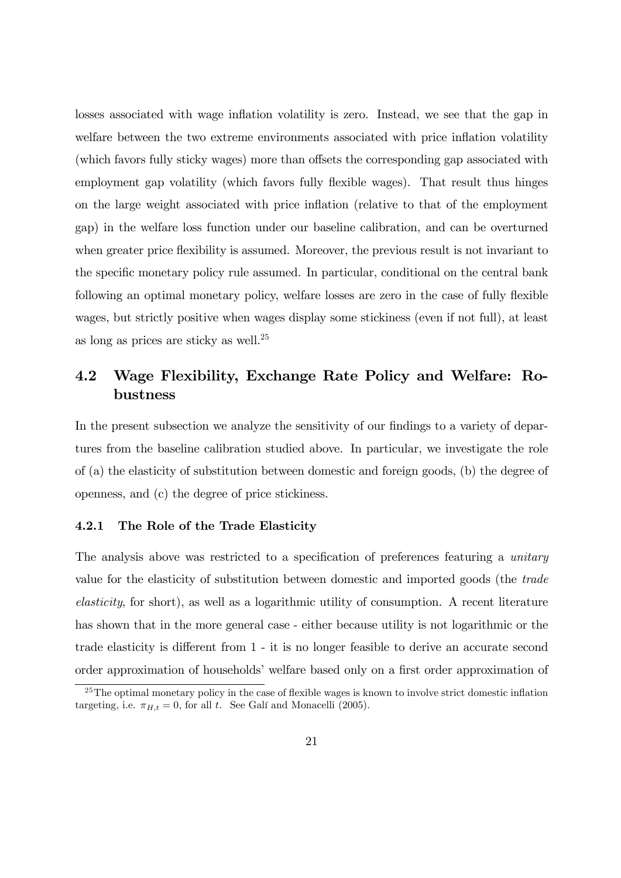losses associated with wage inflation volatility is zero. Instead, we see that the gap in welfare between the two extreme environments associated with price inflation volatility (which favors fully sticky wages) more than offsets the corresponding gap associated with employment gap volatility (which favors fully flexible wages). That result thus hinges on the large weight associated with price ináation (relative to that of the employment gap) in the welfare loss function under our baseline calibration, and can be overturned when greater price flexibility is assumed. Moreover, the previous result is not invariant to the specific monetary policy rule assumed. In particular, conditional on the central bank following an optimal monetary policy, welfare losses are zero in the case of fully flexible wages, but strictly positive when wages display some stickiness (even if not full), at least as long as prices are sticky as well.<sup>25</sup>

### 4.2 Wage Flexibility, Exchange Rate Policy and Welfare: Robustness

In the present subsection we analyze the sensitivity of our findings to a variety of departures from the baseline calibration studied above. In particular, we investigate the role of (a) the elasticity of substitution between domestic and foreign goods, (b) the degree of openness, and (c) the degree of price stickiness.

#### 4.2.1 The Role of the Trade Elasticity

The analysis above was restricted to a specification of preferences featuring a *unitary* value for the elasticity of substitution between domestic and imported goods (the trade elasticity, for short), as well as a logarithmic utility of consumption. A recent literature has shown that in the more general case - either because utility is not logarithmic or the trade elasticity is different from  $1 - it$  is no longer feasible to derive an accurate second order approximation of households' welfare based only on a first order approximation of

 $^{25}$ The optimal monetary policy in the case of flexible wages is known to involve strict domestic inflation targeting, i.e.  $\pi_{H,t} = 0$ , for all t. See Galí and Monacelli (2005).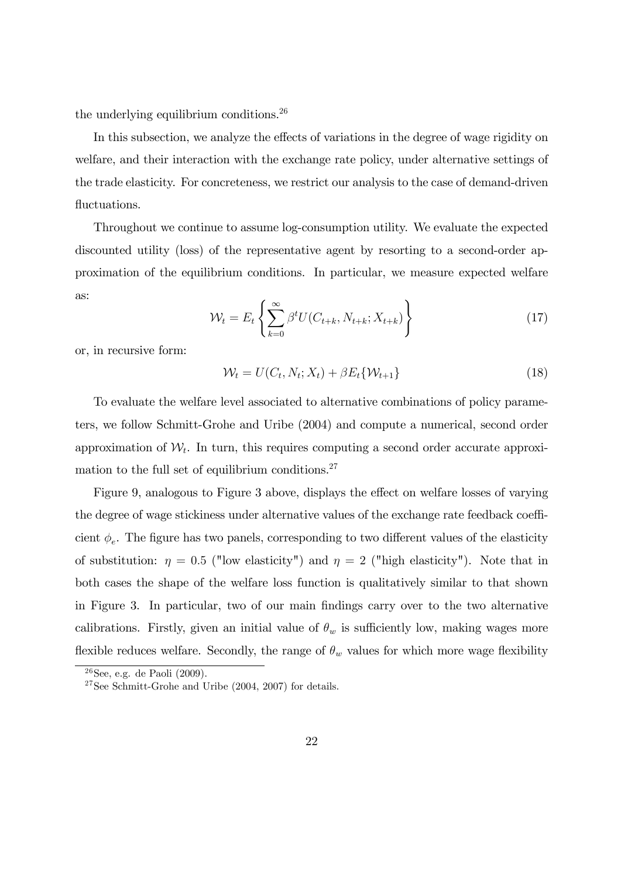the underlying equilibrium conditions.<sup>26</sup>

In this subsection, we analyze the effects of variations in the degree of wage rigidity on welfare, and their interaction with the exchange rate policy, under alternative settings of the trade elasticity. For concreteness, we restrict our analysis to the case of demand-driven fluctuations.

Throughout we continue to assume log-consumption utility. We evaluate the expected discounted utility (loss) of the representative agent by resorting to a second-order approximation of the equilibrium conditions. In particular, we measure expected welfare as:

$$
\mathcal{W}_t = E_t \left\{ \sum_{k=0}^{\infty} \beta^t U(C_{t+k}, N_{t+k}; X_{t+k}) \right\}
$$
 (17)

or, in recursive form:

$$
\mathcal{W}_t = U(C_t, N_t; X_t) + \beta E_t \{ \mathcal{W}_{t+1} \}
$$
\n
$$
\tag{18}
$$

To evaluate the welfare level associated to alternative combinations of policy parameters, we follow Schmitt-Grohe and Uribe (2004) and compute a numerical, second order approximation of  $W_t$ . In turn, this requires computing a second order accurate approximation to the full set of equilibrium conditions.<sup>27</sup>

Figure 9, analogous to Figure 3 above, displays the effect on welfare losses of varying the degree of wage stickiness under alternative values of the exchange rate feedback coefficient  $\phi_e$ . The figure has two panels, corresponding to two different values of the elasticity of substitution:  $\eta = 0.5$  ("low elasticity") and  $\eta = 2$  ("high elasticity"). Note that in both cases the shape of the welfare loss function is qualitatively similar to that shown in Figure 3. In particular, two of our main Öndings carry over to the two alternative calibrations. Firstly, given an initial value of  $\theta_w$  is sufficiently low, making wages more flexible reduces welfare. Secondly, the range of  $\theta_w$  values for which more wage flexibility

 $26$ See, e.g. de Paoli (2009).

<sup>27</sup>See Schmitt-Grohe and Uribe (2004, 2007) for details.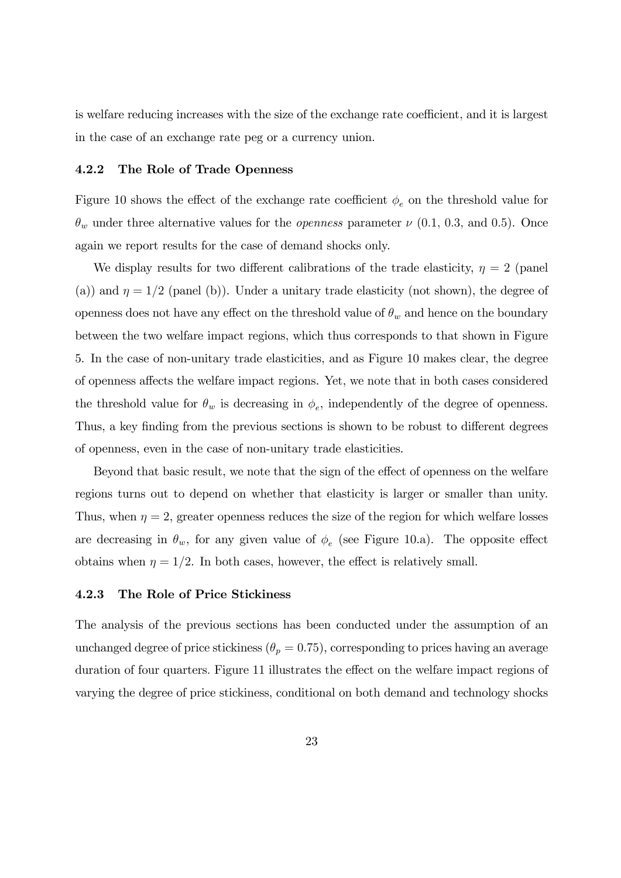is welfare reducing increases with the size of the exchange rate coefficient, and it is largest in the case of an exchange rate peg or a currency union.

#### 4.2.2 The Role of Trade Openness

Figure 10 shows the effect of the exchange rate coefficient  $\phi_e$  on the threshold value for  $\theta_w$  under three alternative values for the *openness* parameter  $\nu$  (0.1, 0.3, and 0.5). Once again we report results for the case of demand shocks only.

We display results for two different calibrations of the trade elasticity,  $\eta = 2$  (panel (a)) and  $\eta = 1/2$  (panel (b)). Under a unitary trade elasticity (not shown), the degree of openness does not have any effect on the threshold value of  $\theta_w$  and hence on the boundary between the two welfare impact regions, which thus corresponds to that shown in Figure 5. In the case of non-unitary trade elasticities, and as Figure 10 makes clear, the degree of openness affects the welfare impact regions. Yet, we note that in both cases considered the threshold value for  $\theta_w$  is decreasing in  $\phi_e$ , independently of the degree of openness. Thus, a key finding from the previous sections is shown to be robust to different degrees of openness, even in the case of non-unitary trade elasticities.

Beyond that basic result, we note that the sign of the effect of openness on the welfare regions turns out to depend on whether that elasticity is larger or smaller than unity. Thus, when  $\eta = 2$ , greater openness reduces the size of the region for which welfare losses are decreasing in  $\theta_w$ , for any given value of  $\phi_e$  (see Figure 10.a). The opposite effect obtains when  $\eta = 1/2$ . In both cases, however, the effect is relatively small.

#### 4.2.3 The Role of Price Stickiness

The analysis of the previous sections has been conducted under the assumption of an unchanged degree of price stickiness  $(\theta_p = 0.75)$ , corresponding to prices having an average duration of four quarters. Figure 11 illustrates the effect on the welfare impact regions of varying the degree of price stickiness, conditional on both demand and technology shocks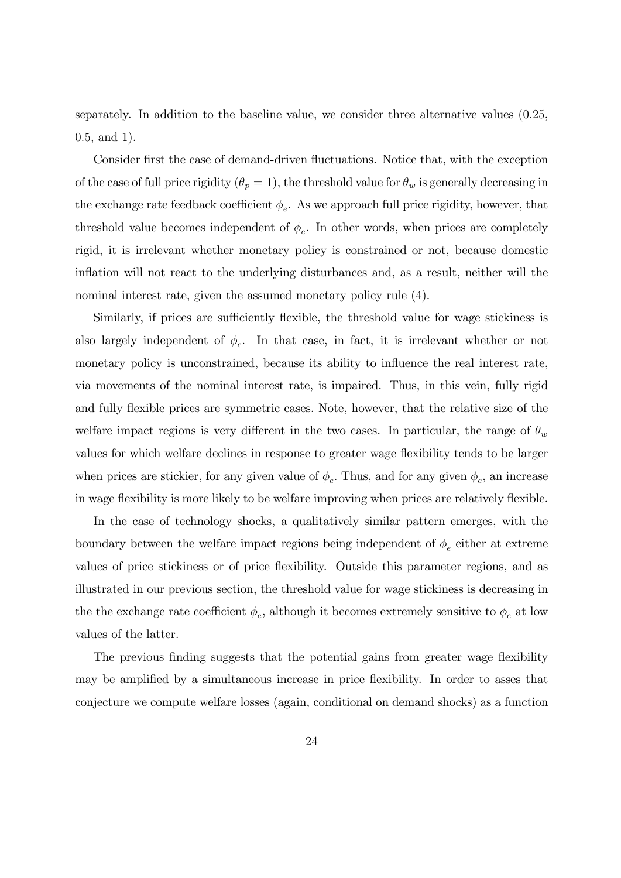separately. In addition to the baseline value, we consider three alternative values (0:25, 0:5, and 1).

Consider first the case of demand-driven fluctuations. Notice that, with the exception of the case of full price rigidity  $(\theta_p = 1)$ , the threshold value for  $\theta_w$  is generally decreasing in the exchange rate feedback coefficient  $\phi_e$ . As we approach full price rigidity, however, that threshold value becomes independent of  $\phi_e$ . In other words, when prices are completely rigid, it is irrelevant whether monetary policy is constrained or not, because domestic inflation will not react to the underlying disturbances and, as a result, neither will the nominal interest rate, given the assumed monetary policy rule (4).

Similarly, if prices are sufficiently flexible, the threshold value for wage stickiness is also largely independent of  $\phi_e$ . In that case, in fact, it is irrelevant whether or not monetary policy is unconstrained, because its ability to influence the real interest rate, via movements of the nominal interest rate, is impaired. Thus, in this vein, fully rigid and fully flexible prices are symmetric cases. Note, however, that the relative size of the welfare impact regions is very different in the two cases. In particular, the range of  $\theta_w$ values for which welfare declines in response to greater wage flexibility tends to be larger when prices are stickier, for any given value of  $\phi_e$ . Thus, and for any given  $\phi_e$ , an increase in wage flexibility is more likely to be welfare improving when prices are relatively flexible.

In the case of technology shocks, a qualitatively similar pattern emerges, with the boundary between the welfare impact regions being independent of  $\phi_e$  either at extreme values of price stickiness or of price áexibility. Outside this parameter regions, and as illustrated in our previous section, the threshold value for wage stickiness is decreasing in the the exchange rate coefficient  $\phi_e$ , although it becomes extremely sensitive to  $\phi_e$  at low values of the latter.

The previous finding suggests that the potential gains from greater wage flexibility may be amplified by a simultaneous increase in price flexibility. In order to asses that conjecture we compute welfare losses (again, conditional on demand shocks) as a function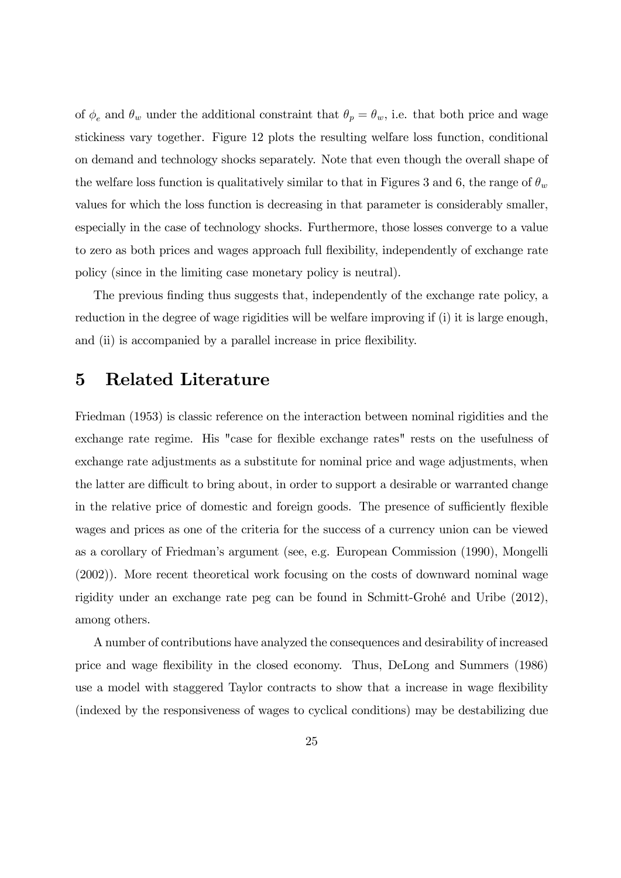of  $\phi_e$  and  $\theta_w$  under the additional constraint that  $\theta_p = \theta_w$ , i.e. that both price and wage stickiness vary together. Figure 12 plots the resulting welfare loss function, conditional on demand and technology shocks separately. Note that even though the overall shape of the welfare loss function is qualitatively similar to that in Figures 3 and 6, the range of  $\theta_w$ values for which the loss function is decreasing in that parameter is considerably smaller, especially in the case of technology shocks. Furthermore, those losses converge to a value to zero as both prices and wages approach full flexibility, independently of exchange rate policy (since in the limiting case monetary policy is neutral).

The previous finding thus suggests that, independently of the exchange rate policy, a reduction in the degree of wage rigidities will be welfare improving if (i) it is large enough, and (ii) is accompanied by a parallel increase in price flexibility.

### 5 Related Literature

Friedman (1953) is classic reference on the interaction between nominal rigidities and the exchange rate regime. His "case for flexible exchange rates" rests on the usefulness of exchange rate adjustments as a substitute for nominal price and wage adjustments, when the latter are difficult to bring about, in order to support a desirable or warranted change in the relative price of domestic and foreign goods. The presence of sufficiently flexible wages and prices as one of the criteria for the success of a currency union can be viewed as a corollary of Friedmanís argument (see, e.g. European Commission (1990), Mongelli (2002)). More recent theoretical work focusing on the costs of downward nominal wage rigidity under an exchange rate peg can be found in Schmitt-GrohÈ and Uribe (2012), among others.

A number of contributions have analyzed the consequences and desirability of increased price and wage flexibility in the closed economy. Thus, DeLong and Summers (1986) use a model with staggered Taylor contracts to show that a increase in wage flexibility (indexed by the responsiveness of wages to cyclical conditions) may be destabilizing due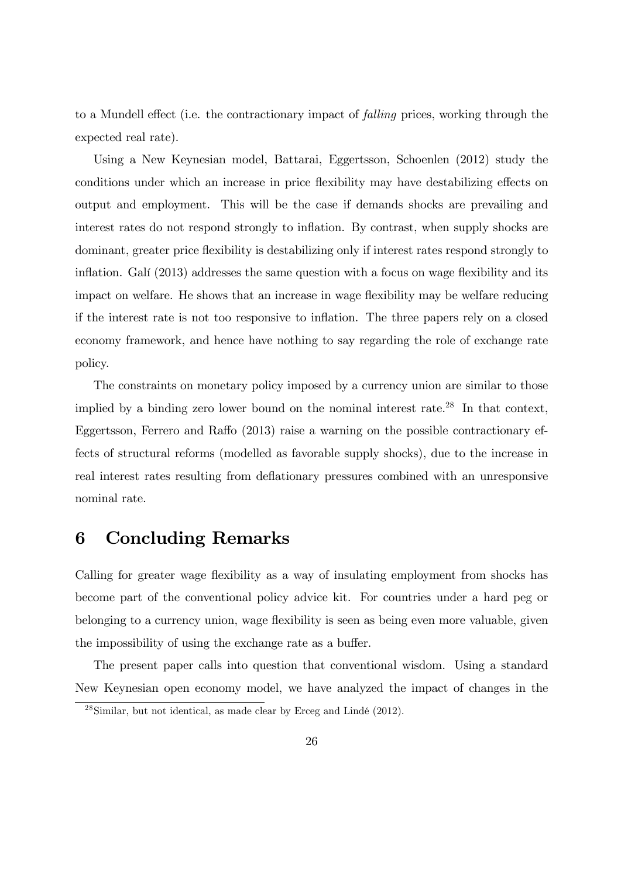to a Mundell effect (i.e. the contractionary impact of *falling* prices, working through the expected real rate).

Using a New Keynesian model, Battarai, Eggertsson, Schoenlen (2012) study the conditions under which an increase in price flexibility may have destabilizing effects on output and employment. This will be the case if demands shocks are prevailing and interest rates do not respond strongly to inflation. By contrast, when supply shocks are dominant, greater price áexibility is destabilizing only if interest rates respond strongly to inflation. Galí  $(2013)$  addresses the same question with a focus on wage flexibility and its impact on welfare. He shows that an increase in wage flexibility may be welfare reducing if the interest rate is not too responsive to ináation. The three papers rely on a closed economy framework, and hence have nothing to say regarding the role of exchange rate policy.

The constraints on monetary policy imposed by a currency union are similar to those implied by a binding zero lower bound on the nominal interest rate.<sup>28</sup> In that context, Eggertsson, Ferrero and Raffo  $(2013)$  raise a warning on the possible contractionary effects of structural reforms (modelled as favorable supply shocks), due to the increase in real interest rates resulting from deflationary pressures combined with an unresponsive nominal rate.

### 6 Concluding Remarks

Calling for greater wage flexibility as a way of insulating employment from shocks has become part of the conventional policy advice kit. For countries under a hard peg or belonging to a currency union, wage flexibility is seen as being even more valuable, given the impossibility of using the exchange rate as a buffer.

The present paper calls into question that conventional wisdom. Using a standard New Keynesian open economy model, we have analyzed the impact of changes in the

 $^{28}$ Similar, but not identical, as made clear by Erceg and Lindé (2012).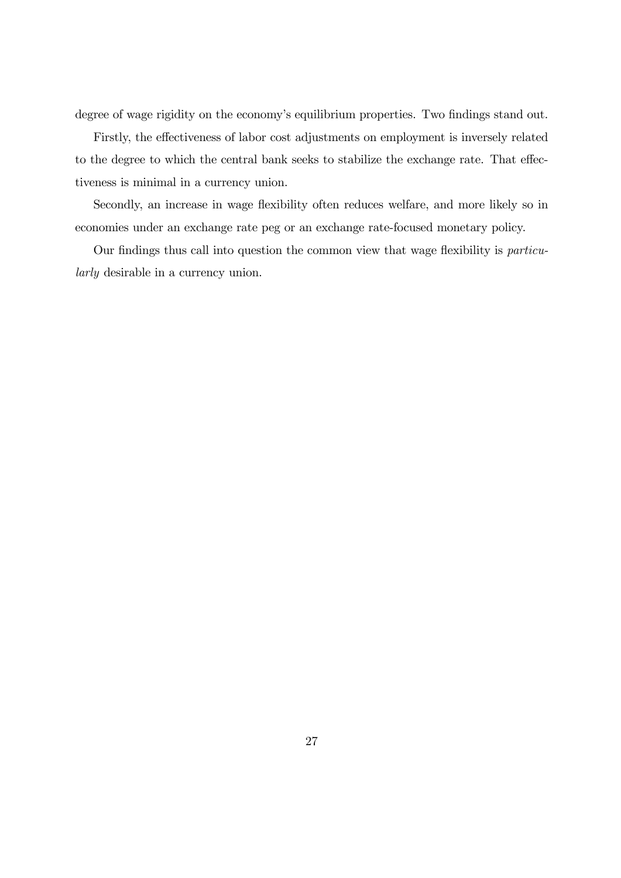degree of wage rigidity on the economy's equilibrium properties. Two findings stand out.

Firstly, the effectiveness of labor cost adjustments on employment is inversely related to the degree to which the central bank seeks to stabilize the exchange rate. That effectiveness is minimal in a currency union.

Secondly, an increase in wage flexibility often reduces welfare, and more likely so in economies under an exchange rate peg or an exchange rate-focused monetary policy.

Our findings thus call into question the common view that wage flexibility is particularly desirable in a currency union.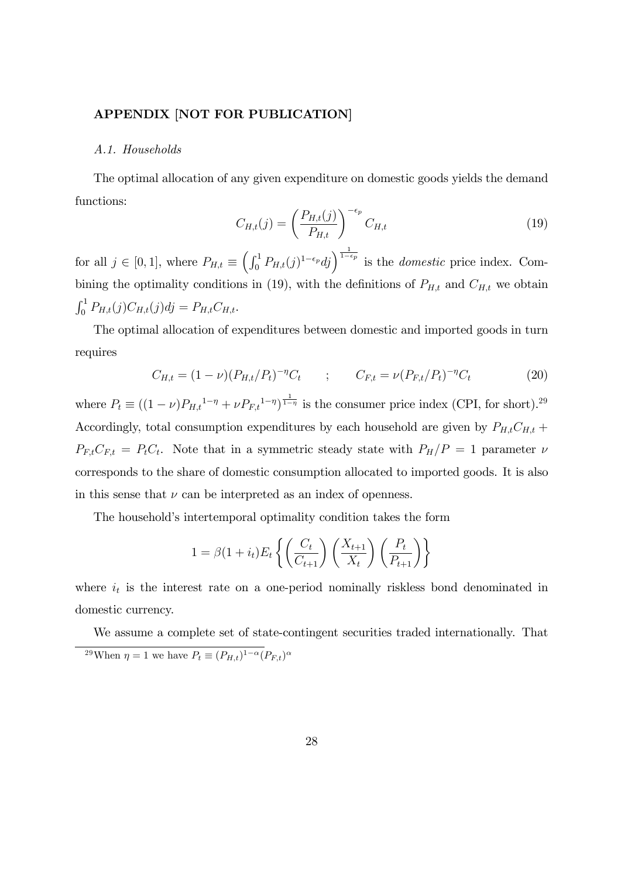#### APPENDIX [NOT FOR PUBLICATION]

#### A.1. Households

The optimal allocation of any given expenditure on domestic goods yields the demand functions:

$$
C_{H,t}(j) = \left(\frac{P_{H,t}(j)}{P_{H,t}}\right)^{-\epsilon_p} C_{H,t}
$$
\n
$$
(19)
$$

for all  $j \in [0, 1]$ , where  $P_{H,t} \equiv \left( \int_0^1 P_{H,t}(j)^{1-\epsilon_p} dj \right)^{\frac{1}{1-\epsilon_p}}$  is the *domestic* price index. Combining the optimality conditions in (19), with the definitions of  $P_{H,t}$  and  $C_{H,t}$  we obtain  $\int_0^1 P_{H,t}(j) C_{H,t}(j) d j = P_{H,t} C_{H,t}.$ 

The optimal allocation of expenditures between domestic and imported goods in turn requires

$$
C_{H,t} = (1 - \nu)(P_{H,t}/P_t)^{-\eta} C_t \qquad ; \qquad C_{F,t} = \nu(P_{F,t}/P_t)^{-\eta} C_t \tag{20}
$$

where  $P_t \equiv ((1 - \nu)P_{H,t}^{1 - \eta} + \nu P_{F,t}^{1 - \eta})^{\frac{1}{1 - \eta}}$  is the consumer price index (CPI, for short).<sup>29</sup> Accordingly, total consumption expenditures by each household are given by  $P_{H,t}C_{H,t}$  +  $P_{F,t}C_{F,t} = P_tC_t$ . Note that in a symmetric steady state with  $P_H/P = 1$  parameter  $\nu$ corresponds to the share of domestic consumption allocated to imported goods. It is also in this sense that  $\nu$  can be interpreted as an index of openness.

The household's intertemporal optimality condition takes the form

$$
1 = \beta(1 + i_t)E_t\left\{ \left(\frac{C_t}{C_{t+1}}\right) \left(\frac{X_{t+1}}{X_t}\right) \left(\frac{P_t}{P_{t+1}}\right) \right\}
$$

where  $i_t$  is the interest rate on a one-period nominally riskless bond denominated in domestic currency.

We assume a complete set of state-contingent securities traded internationally. That <sup>29</sup>When  $\eta = 1$  we have  $P_t \equiv (P_{H,t})^{1-\alpha} (P_{F,t})^{\alpha}$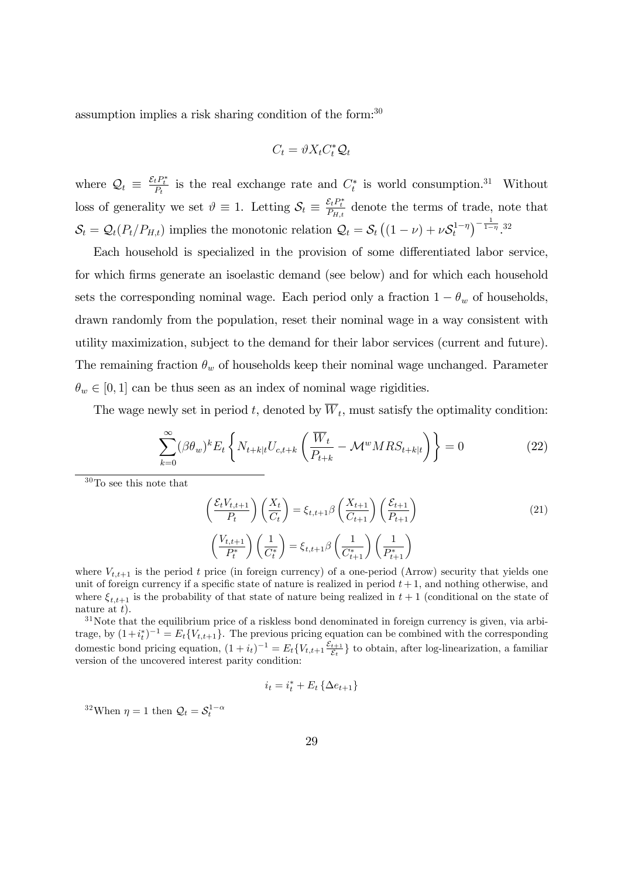assumption implies a risk sharing condition of the form:<sup>30</sup>

$$
C_t = \vartheta X_t C_t^* \mathcal{Q}_t
$$

where  $Q_t \equiv \frac{\varepsilon_t P_t^*}{P_t}$  is the real exchange rate and  $C_t^*$  is world consumption.<sup>31</sup> Without loss of generality we set  $\vartheta \equiv 1$ . Letting  $S_t \equiv \frac{\mathcal{E}_t P_t^*}{P_{H,t}}$  denote the terms of trade, note that  $S_t = Q_t(P_t/P_{H,t})$  implies the monotonic relation  $Q_t = S_t((1 - \nu) + \nu S_t^{1 - \eta})^{-\frac{1}{1 - \eta}}$ .<sup>32</sup>

Each household is specialized in the provision of some differentiated labor service, for which firms generate an isoelastic demand (see below) and for which each household sets the corresponding nominal wage. Each period only a fraction  $1 - \theta_w$  of households, drawn randomly from the population, reset their nominal wage in a way consistent with utility maximization, subject to the demand for their labor services (current and future). The remaining fraction  $\theta_w$  of households keep their nominal wage unchanged. Parameter  $\theta_w \in [0, 1]$  can be thus seen as an index of nominal wage rigidities.

The wage newly set in period  $t$ , denoted by  $W_t$ , must satisfy the optimality condition:

$$
\sum_{k=0}^{\infty} (\beta \theta_w)^k E_t \left\{ N_{t+k|t} U_{c,t+k} \left( \frac{\overline{W}_t}{P_{t+k}} - \mathcal{M}^w M R S_{t+k|t} \right) \right\} = 0 \tag{22}
$$

<sup>30</sup>To see this note that

$$
\left(\frac{\mathcal{E}_t V_{t,t+1}}{P_t}\right) \left(\frac{X_t}{C_t}\right) = \xi_{t,t+1} \beta \left(\frac{X_{t+1}}{C_{t+1}}\right) \left(\frac{\mathcal{E}_{t+1}}{P_{t+1}}\right)
$$
\n
$$
\left(\frac{V_{t,t+1}}{P_t^*}\right) \left(\frac{1}{C_t^*}\right) = \xi_{t,t+1} \beta \left(\frac{1}{C_{t+1}^*}\right) \left(\frac{1}{P_{t+1}^*}\right)
$$
\n(21)

where  $V_{t,t+1}$  is the period t price (in foreign currency) of a one-period (Arrow) security that yields one unit of foreign currency if a specific state of nature is realized in period  $t + 1$ , and nothing otherwise, and where  $\xi_{t,t+1}$  is the probability of that state of nature being realized in  $t + 1$  (conditional on the state of nature at  $t$ ).

 $31$ Note that the equilibrium price of a riskless bond denominated in foreign currency is given, via arbitrage, by  $(1+i_t^*)^{-1} = E_t\{V_{t,t+1}\}.$  The previous pricing equation can be combined with the corresponding domestic bond pricing equation,  $(1 + i_t)^{-1} = E_t \{V_{t,t+1} \frac{\varepsilon_{t+1}}{\varepsilon_t}$  $\{\frac{t+1}{\varepsilon_t}\}$  to obtain, after log-linearization, a familiar version of the uncovered interest parity condition:

$$
i_t = i_t^* + E_t \left\{ \Delta e_{t+1} \right\}
$$

<sup>32</sup>When  $\eta = 1$  then  $\mathcal{Q}_t = \mathcal{S}_t^{1-\alpha}$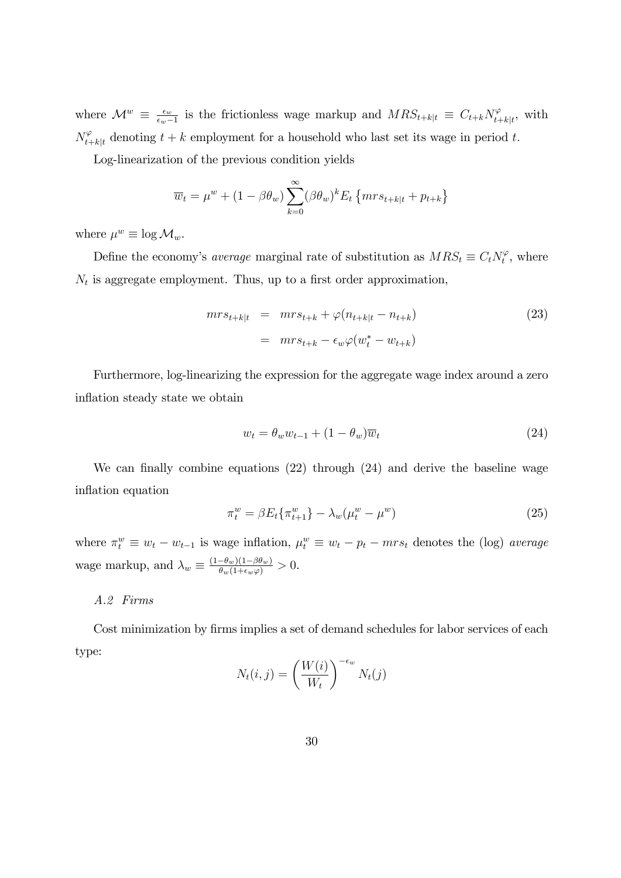where  $\mathcal{M}^w \equiv \frac{\epsilon_w}{\epsilon_w - \epsilon_w}$  $\frac{\epsilon_w}{\epsilon_w-1}$  is the frictionless wage markup and  $MRS_{t+k|t} \equiv C_{t+k}N_{t+k|t}^{\varphi}$ , with  $N_{t+k|t}^{\varphi}$  denoting  $t+k$  employment for a household who last set its wage in period t.

Log-linearization of the previous condition yields

$$
\overline{w}_t = \mu^w + (1 - \beta \theta_w) \sum_{k=0}^{\infty} (\beta \theta_w)^k E_t \{ mrs_{t+k|t} + p_{t+k} \}
$$

where  $\mu^w \equiv \log \mathcal{M}_w$ .

Define the economy's *average* marginal rate of substitution as  $MRS_t \equiv C_t N_t^{\varphi}$ , where  $N_t$  is aggregate employment. Thus, up to a first order approximation,

$$
mr s_{t+k|t} = mr s_{t+k} + \varphi(n_{t+k|t} - n_{t+k})
$$
\n
$$
= mr s_{t+k} - \epsilon_w \varphi(w_t^* - w_{t+k})
$$
\n(23)

Furthermore, log-linearizing the expression for the aggregate wage index around a zero inflation steady state we obtain

$$
w_t = \theta_w w_{t-1} + (1 - \theta_w)\overline{w}_t \tag{24}
$$

We can finally combine equations  $(22)$  through  $(24)$  and derive the baseline wage inflation equation

$$
\pi_t^w = \beta E_t \{ \pi_{t+1}^w \} - \lambda_w (\mu_t^w - \mu^w)
$$
\n(25)

where  $\pi_t^w \equiv w_t - w_{t-1}$  is wage inflation,  $\mu_t^w \equiv w_t - p_t - mrs_t$  denotes the (log) average wage markup, and  $\lambda_w \equiv \frac{(1-\theta_w)(1-\beta\theta_w)}{\theta_w(1+\epsilon_w\varphi)} > 0.$ 

### A.2 Firms

Cost minimization by firms implies a set of demand schedules for labor services of each type:

$$
N_t(i,j) = \left(\frac{W(i)}{W_t}\right)^{-\epsilon_w} N_t(j)
$$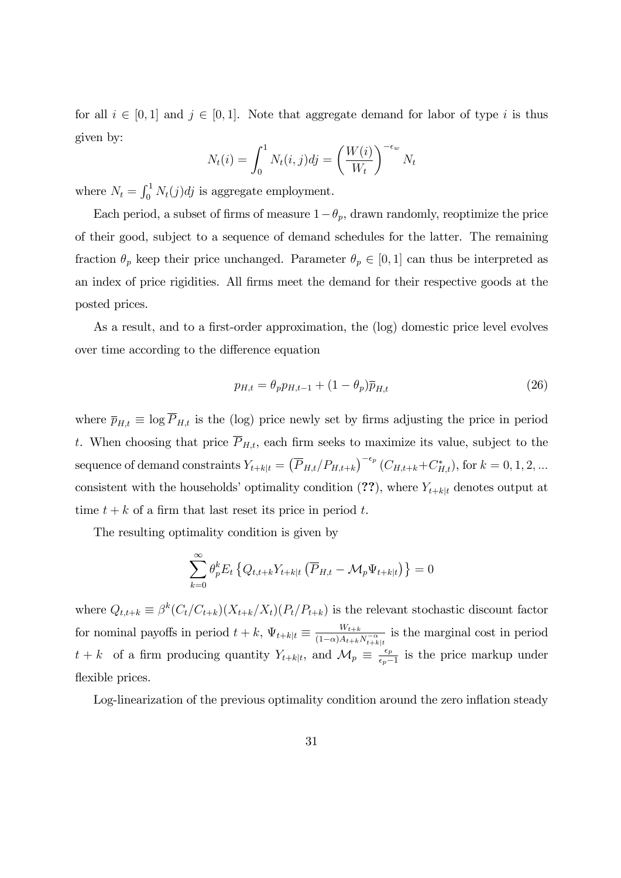for all  $i \in [0, 1]$  and  $j \in [0, 1]$ . Note that aggregate demand for labor of type i is thus given by:

$$
N_t(i) = \int_0^1 N_t(i,j)dj = \left(\frac{W(i)}{W_t}\right)^{-\epsilon_w} N_t
$$

where  $N_t = \int_0^1 N_t(j)dj$  is aggregate employment.

Each period, a subset of firms of measure  $1-\theta_p$ , drawn randomly, reoptimize the price of their good, subject to a sequence of demand schedules for the latter. The remaining fraction  $\theta_p$  keep their price unchanged. Parameter  $\theta_p \in [0, 1]$  can thus be interpreted as an index of price rigidities. All firms meet the demand for their respective goods at the posted prices.

As a result, and to a first-order approximation, the (log) domestic price level evolves over time according to the difference equation

$$
p_{H,t} = \theta_p p_{H,t-1} + (1 - \theta_p) \overline{p}_{H,t} \tag{26}
$$

where  $\overline{p}_{H,t} \equiv \log \overline{P}_{H,t}$  is the (log) price newly set by firms adjusting the price in period t. When choosing that price  $\overline{P}_{H,t}$ , each firm seeks to maximize its value, subject to the sequence of demand constraints  $Y_{t+k|t} = (\overline{P}_{H,t}/P_{H,t+k})^{-\epsilon_p} (C_{H,t+k} + C_{H,t}^*),$  for  $k = 0, 1, 2, ...$ consistent with the households' optimality condition (??), where  $Y_{t+k|t}$  denotes output at time  $t + k$  of a firm that last reset its price in period t.

The resulting optimality condition is given by

$$
\sum_{k=0}^{\infty} \theta_p^k E_t \left\{ Q_{t,t+k} Y_{t+k|t} \left( \overline{P}_{H,t} - \mathcal{M}_p \Psi_{t+k|t} \right) \right\} = 0
$$

where  $Q_{t,t+k} \equiv \beta^k (C_t/C_{t+k})(X_{t+k}/X_t)(P_t/P_{t+k})$  is the relevant stochastic discount factor for nominal payoffs in period  $t + k$ ,  $\Psi_{t+k|t} \equiv \frac{W_{t+k}}{(1-\alpha)A_{t+k}}$  $\sqrt{(1-\alpha)A_{t+k}N_{t+k}^{-\alpha}}$ is the marginal cost in period  $t + k$  of a firm producing quantity  $Y_{t+k|t}$ , and  $\mathcal{M}_p \equiv \frac{\epsilon_p}{\epsilon_p - k}$  $\frac{\epsilon_p}{\epsilon_p-1}$  is the price markup under flexible prices.

Log-linearization of the previous optimality condition around the zero inflation steady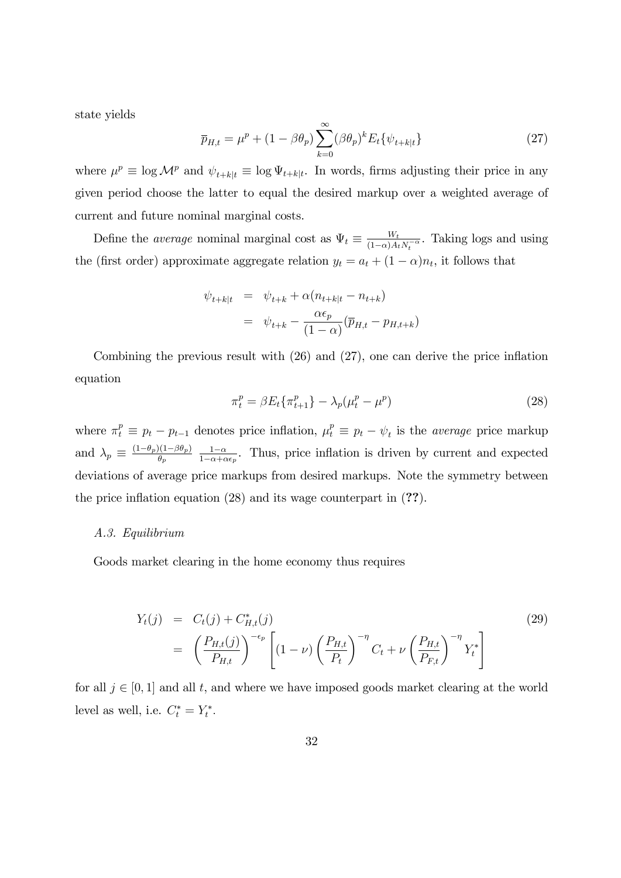state yields

$$
\overline{p}_{H,t} = \mu^p + (1 - \beta \theta_p) \sum_{k=0}^{\infty} (\beta \theta_p)^k E_t \{\psi_{t+k|t}\}
$$
\n(27)

where  $\mu^p \equiv \log \mathcal{M}^p$  and  $\psi_{t+k|t} \equiv \log \Psi_{t+k|t}$ . In words, firms adjusting their price in any given period choose the latter to equal the desired markup over a weighted average of current and future nominal marginal costs.

Define the *average* nominal marginal cost as  $\Psi_t \equiv \frac{W_t}{(1-\alpha)A_t}$  $\frac{W_t}{(1-\alpha)A_tN_t^{-\alpha}}$ . Taking logs and using the (first order) approximate aggregate relation  $y_t = a_t + (1 - \alpha)n_t$ , it follows that

$$
\psi_{t+k|t} = \psi_{t+k} + \alpha (n_{t+k|t} - n_{t+k})
$$

$$
= \psi_{t+k} - \frac{\alpha \epsilon_p}{(1-\alpha)} (\overline{p}_{H,t} - p_{H,t+k})
$$

Combining the previous result with  $(26)$  and  $(27)$ , one can derive the price inflation equation

$$
\pi_t^p = \beta E_t \{ \pi_{t+1}^p \} - \lambda_p (\mu_t^p - \mu^p)
$$
\n(28)

where  $\pi_t^p \equiv p_t - p_{t-1}$  denotes price inflation,  $\mu_t^p \equiv p_t - \psi_t$  is the *average* price markup and  $\lambda_p \equiv \frac{(1-\theta_p)(1-\beta\theta_p)}{\theta_p} \frac{1-\alpha}{1-\alpha+\alpha}$  $\frac{1-\alpha}{1-\alpha+\alpha\epsilon_p}$ . Thus, price inflation is driven by current and expected deviations of average price markups from desired markups. Note the symmetry between the price inflation equation  $(28)$  and its wage counterpart in  $(?)$ .

#### A.3. Equilibrium

Goods market clearing in the home economy thus requires

$$
Y_t(j) = C_t(j) + C_{H,t}^*(j)
$$
\n
$$
= \left(\frac{P_{H,t}(j)}{P_{H,t}}\right)^{-\epsilon_p} \left[ (1-\nu) \left(\frac{P_{H,t}}{P_t}\right)^{-\eta} C_t + \nu \left(\frac{P_{H,t}}{P_{F,t}}\right)^{-\eta} Y_t^* \right]
$$
\n(29)

for all  $j \in [0, 1]$  and all t, and where we have imposed goods market clearing at the world level as well, i.e.  $C_t^* = Y_t^*$ .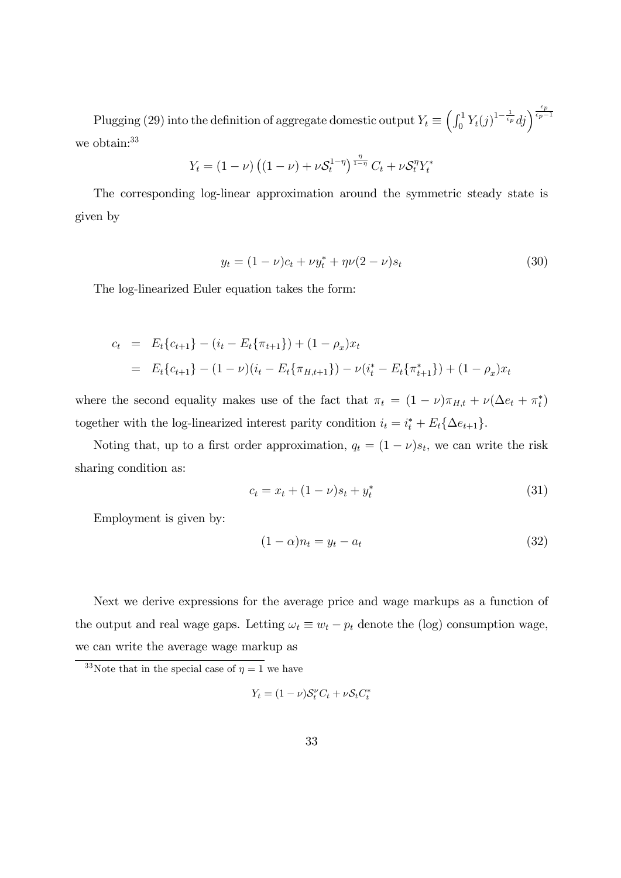Plugging (29) into the definition of aggregate domestic output  $Y_t \equiv \left(\int_0^1 Y_t(j)^{1-\frac{1}{\epsilon_p}}dj\right)^{\frac{\epsilon_p}{\epsilon_p-1}}$ we obtain:<sup>33</sup>

$$
Y_t = (1 - \nu) \left( (1 - \nu) + \nu \mathcal{S}_t^{1 - \eta} \right)^{\frac{\eta}{1 - \eta}} C_t + \nu \mathcal{S}_t^{\eta} Y_t^*
$$

The corresponding log-linear approximation around the symmetric steady state is given by

$$
y_t = (1 - \nu)c_t + \nu y_t^* + \eta \nu (2 - \nu)s_t \tag{30}
$$

The log-linearized Euler equation takes the form:

$$
c_t = E_t\{c_{t+1}\} - (i_t - E_t\{\pi_{t+1}\}) + (1 - \rho_x)x_t
$$
  
= 
$$
E_t\{c_{t+1}\} - (1 - \nu)(i_t - E_t\{\pi_{H,t+1}\}) - \nu(i_t^* - E_t\{\pi_{t+1}^*\}) + (1 - \rho_x)x_t
$$

where the second equality makes use of the fact that  $\pi_t = (1 - \nu)\pi_{H,t} + \nu(\Delta e_t + \pi_t^*)$ together with the log-linearized interest parity condition  $i_t = i_t^* + E_t \{\Delta e_{t+1}\}.$ 

Noting that, up to a first order approximation,  $q_t = (1 - \nu)s_t$ , we can write the risk sharing condition as:

$$
c_t = x_t + (1 - \nu)s_t + y_t^* \tag{31}
$$

Employment is given by:

$$
(1 - \alpha)n_t = y_t - a_t \tag{32}
$$

Next we derive expressions for the average price and wage markups as a function of the output and real wage gaps. Letting  $\omega_t \equiv w_t - p_t$  denote the (log) consumption wage, we can write the average wage markup as

$$
Y_t = (1 - \nu)S_t^{\nu}C_t + \nu S_t C_t^*
$$

<sup>&</sup>lt;sup>33</sup>Note that in the special case of  $\eta = 1$  we have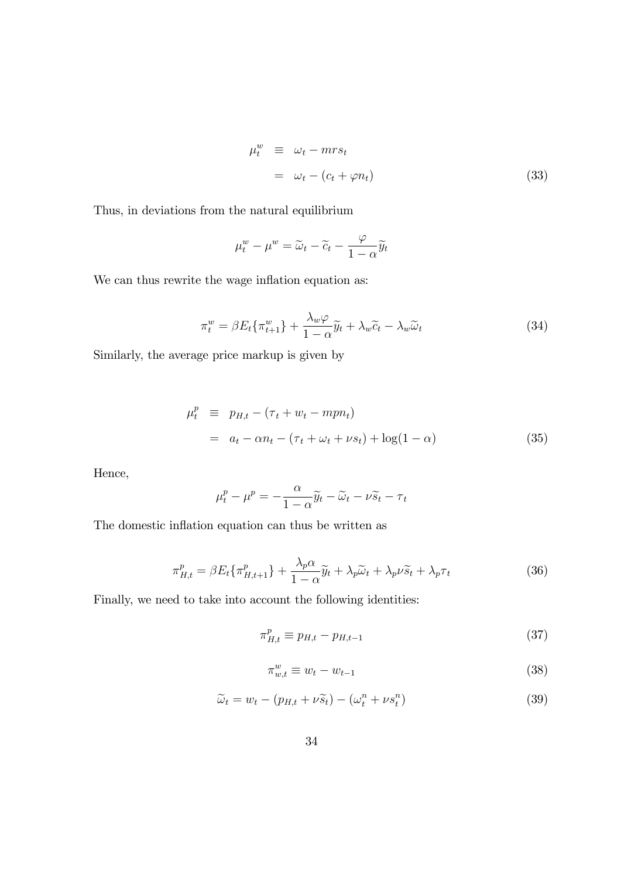$$
\begin{aligned}\n\mu_t^w &\equiv \omega_t - m r s_t \\
&= \omega_t - (c_t + \varphi n_t)\n\end{aligned} \tag{33}
$$

Thus, in deviations from the natural equilibrium

$$
\mu_t^w - \mu^w = \widetilde{\omega}_t - \widetilde{c}_t - \frac{\varphi}{1 - \alpha} \widetilde{y}_t
$$

We can thus rewrite the wage inflation equation as:

$$
\pi_t^w = \beta E_t \{\pi_{t+1}^w\} + \frac{\lambda_w \varphi}{1 - \alpha} \widetilde{y}_t + \lambda_w \widetilde{c}_t - \lambda_w \widetilde{\omega}_t \tag{34}
$$

Similarly, the average price markup is given by

$$
\mu_t^p \equiv p_{H,t} - (\tau_t + w_t - mp_n) \n= a_t - \alpha n_t - (\tau_t + \omega_t + \nu s_t) + \log(1 - \alpha)
$$
\n(35)

Hence,

$$
\mu_t^p - \mu^p = -\frac{\alpha}{1 - \alpha} \widetilde{y}_t - \widetilde{\omega}_t - \nu \widetilde{s}_t - \tau_t
$$

The domestic inflation equation can thus be written as

$$
\pi_{H,t}^p = \beta E_t \{ \pi_{H,t+1}^p \} + \frac{\lambda_p \alpha}{1 - \alpha} \tilde{y}_t + \lambda_p \tilde{\omega}_t + \lambda_p \nu \tilde{s}_t + \lambda_p \tau_t \tag{36}
$$

Finally, we need to take into account the following identities:

$$
\pi_{H,t}^p \equiv p_{H,t} - p_{H,t-1} \tag{37}
$$

$$
\pi_{w,t}^w \equiv w_t - w_{t-1} \tag{38}
$$

$$
\widetilde{\omega}_t = w_t - (p_{H,t} + \nu \widetilde{s}_t) - (\omega_t^n + \nu s_t^n) \tag{39}
$$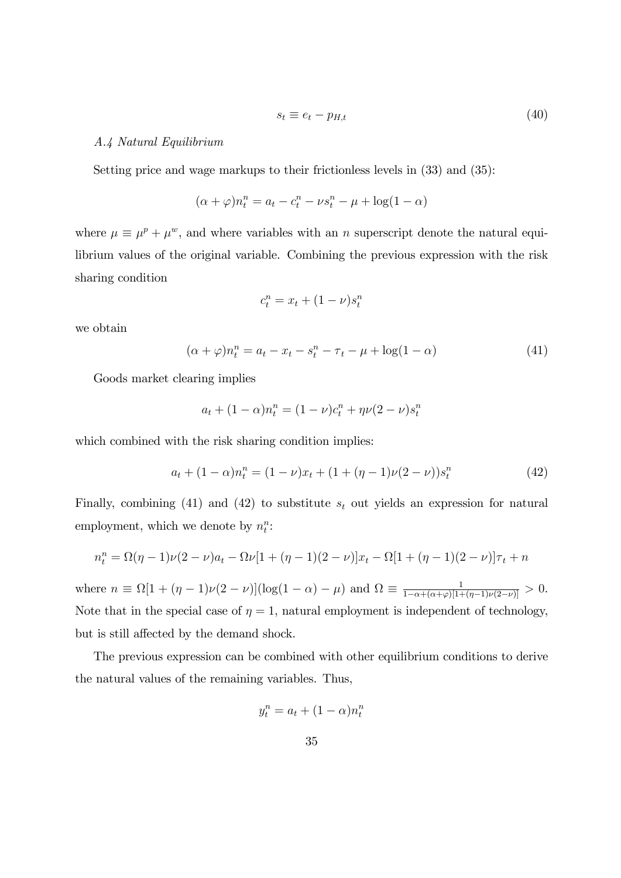$$
s_t \equiv e_t - p_{H,t} \tag{40}
$$

#### A.4 Natural Equilibrium

Setting price and wage markups to their frictionless levels in (33) and (35):

$$
(\alpha + \varphi)n_t^n = a_t - c_t^n - \nu s_t^n - \mu + \log(1 - \alpha)
$$

where  $\mu \equiv \mu^p + \mu^w$ , and where variables with an n superscript denote the natural equilibrium values of the original variable. Combining the previous expression with the risk sharing condition

$$
c_t^n = x_t + (1 - \nu)s_t^n
$$

we obtain

$$
(\alpha + \varphi)n_t^n = a_t - x_t - s_t^n - \tau_t - \mu + \log(1 - \alpha) \tag{41}
$$

Goods market clearing implies

$$
a_t + (1 - \alpha)n_t^n = (1 - \nu)c_t^n + \eta\nu(2 - \nu)s_t^n
$$

which combined with the risk sharing condition implies:

$$
a_t + (1 - \alpha)n_t^n = (1 - \nu)x_t + (1 + (\eta - 1)\nu(2 - \nu))s_t^n
$$
\n(42)

Finally, combining (41) and (42) to substitute  $s_t$  out yields an expression for natural employment, which we denote by  $n_t^n$ :

$$
n_t^n = \Omega(\eta - 1)\nu(2 - \nu)a_t - \Omega\nu[1 + (\eta - 1)(2 - \nu)]x_t - \Omega[1 + (\eta - 1)(2 - \nu)]\tau_t + n
$$

where  $n \equiv \Omega[1 + (\eta - 1)\nu(2 - \nu)](\log(1 - \alpha) - \mu)$  and  $\Omega \equiv \frac{1}{1 - \alpha + (\alpha + \varphi)[1 + (\eta - 1)\nu(2 - \nu)]} > 0$ . Note that in the special case of  $\eta = 1$ , natural employment is independent of technology, but is still affected by the demand shock.

The previous expression can be combined with other equilibrium conditions to derive the natural values of the remaining variables. Thus,

$$
y_t^n = a_t + (1 - \alpha)n_t^n
$$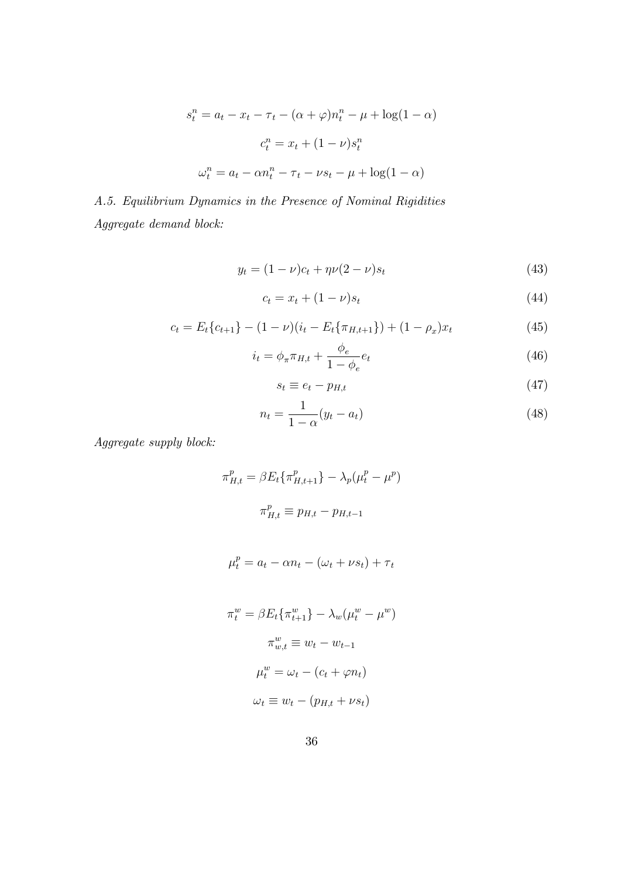$$
s_t^n = a_t - x_t - \tau_t - (\alpha + \varphi)n_t^n - \mu + \log(1 - \alpha)
$$

$$
c_t^n = x_t + (1 - \nu)s_t^n
$$

$$
\omega_t^n = a_t - \alpha n_t^n - \tau_t - \nu s_t - \mu + \log(1 - \alpha)
$$

A.5. Equilibrium Dynamics in the Presence of Nominal Rigidities Aggregate demand block:

$$
y_t = (1 - \nu)c_t + \eta \nu (2 - \nu)s_t \tag{43}
$$

$$
c_t = x_t + (1 - \nu)s_t \tag{44}
$$

$$
c_t = E_t \{c_{t+1}\} - (1 - \nu)(i_t - E_t \{\pi_{H,t+1}\}) + (1 - \rho_x)x_t
$$
\n(45)

$$
i_t = \phi_\pi \pi_{H,t} + \frac{\phi_e}{1 - \phi_e} e_t \tag{46}
$$

$$
s_t \equiv e_t - p_{H,t} \tag{47}
$$

$$
n_t = \frac{1}{1 - \alpha}(y_t - a_t) \tag{48}
$$

Aggregate supply block:

$$
\pi_{H,t}^p = \beta E_t \{ \pi_{H,t+1}^p \} - \lambda_p (\mu_t^p - \mu^p)
$$

$$
\pi_{H,t}^p \equiv p_{H,t} - p_{H,t-1}
$$

$$
\mu_t^p = a_t - \alpha n_t - (\omega_t + \nu s_t) + \tau_t
$$

$$
\pi_t^w = \beta E_t \{\pi_{t+1}^w\} - \lambda_w (\mu_t^w - \mu^w)
$$

$$
\pi_{w,t}^w \equiv w_t - w_{t-1}
$$

$$
\mu_t^w = \omega_t - (c_t + \varphi n_t)
$$

$$
\omega_t \equiv w_t - (p_{H,t} + \nu s_t)
$$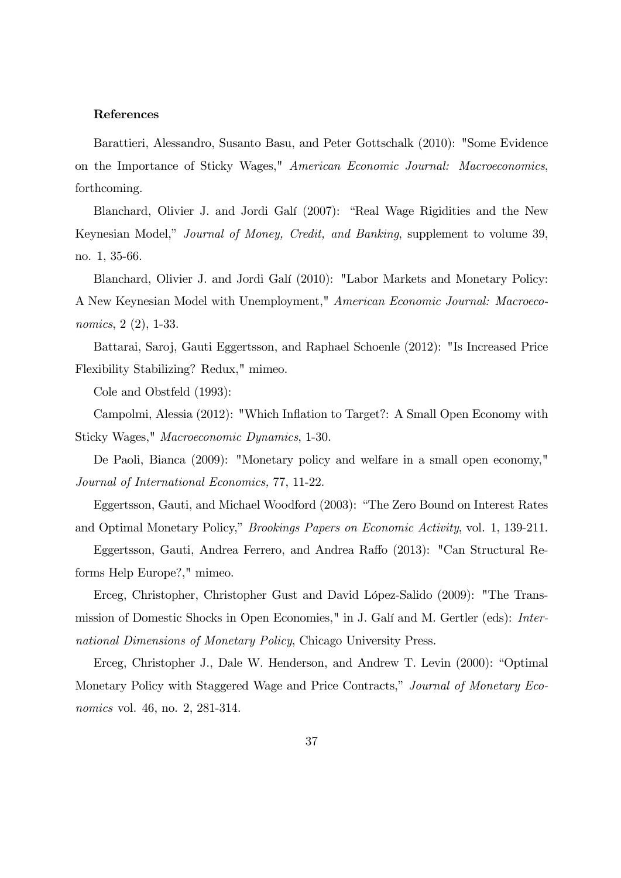#### References

Barattieri, Alessandro, Susanto Basu, and Peter Gottschalk (2010): "Some Evidence on the Importance of Sticky Wages," American Economic Journal: Macroeconomics, forthcoming.

Blanchard, Olivier J. and Jordi Galí (2007): "Real Wage Rigidities and the New Keynesian Model," *Journal of Money, Credit, and Banking*, supplement to volume 39, no. 1, 35-66.

Blanchard, Olivier J. and Jordi Galí (2010): "Labor Markets and Monetary Policy: A New Keynesian Model with Unemployment," American Economic Journal: Macroeconomics, 2 (2), 1-33.

Battarai, Saroj, Gauti Eggertsson, and Raphael Schoenle (2012): "Is Increased Price Flexibility Stabilizing? Redux," mimeo.

Cole and Obstfeld (1993):

Campolmi, Alessia (2012): "Which Ináation to Target?: A Small Open Economy with Sticky Wages," Macroeconomic Dynamics, 1-30.

De Paoli, Bianca (2009): "Monetary policy and welfare in a small open economy," Journal of International Economics, 77, 11-22.

Eggertsson, Gauti, and Michael Woodford (2003): "The Zero Bound on Interest Rates and Optimal Monetary Policy," *Brookings Papers on Economic Activity*, vol. 1, 139-211.

Eggertsson, Gauti, Andrea Ferrero, and Andrea Raffo (2013): "Can Structural Reforms Help Europe?," mimeo.

Erceg, Christopher, Christopher Gust and David López-Salido (2009): "The Transmission of Domestic Shocks in Open Economies," in J. Galí and M. Gertler (eds): International Dimensions of Monetary Policy, Chicago University Press.

Erceg, Christopher J., Dale W. Henderson, and Andrew T. Levin (2000): "Optimal Monetary Policy with Staggered Wage and Price Contracts," Journal of Monetary Economics vol. 46, no. 2, 281-314.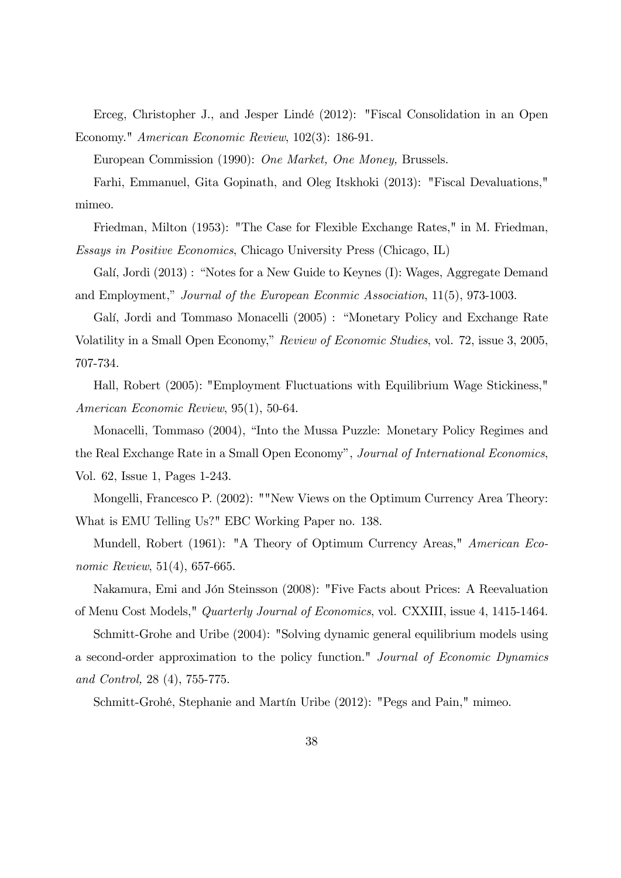Erceg, Christopher J., and Jesper Lindé (2012): "Fiscal Consolidation in an Open Economy." American Economic Review, 102(3): 186-91.

European Commission (1990): One Market, One Money, Brussels.

Farhi, Emmanuel, Gita Gopinath, and Oleg Itskhoki (2013): "Fiscal Devaluations," mimeo.

Friedman, Milton (1953): "The Case for Flexible Exchange Rates," in M. Friedman, Essays in Positive Economics, Chicago University Press (Chicago, IL)

Galí, Jordi (2013) : "Notes for a New Guide to Keynes (I): Wages, Aggregate Demand and Employment," Journal of the European Econmic Association,  $11(5)$ ,  $973-1003$ .

Galí, Jordi and Tommaso Monacelli (2005) : "Monetary Policy and Exchange Rate Volatility in a Small Open Economy," Review of Economic Studies, vol. 72, issue 3, 2005, 707-734.

Hall, Robert (2005): "Employment Fluctuations with Equilibrium Wage Stickiness," American Economic Review, 95(1), 50-64.

Monacelli, Tommaso (2004), "Into the Mussa Puzzle: Monetary Policy Regimes and the Real Exchange Rate in a Small Open Economy", Journal of International Economics, Vol. 62, Issue 1, Pages 1-243.

Mongelli, Francesco P. (2002): ""New Views on the Optimum Currency Area Theory: What is EMU Telling Us?" EBC Working Paper no. 138.

Mundell, Robert (1961): "A Theory of Optimum Currency Areas," American Economic Review, 51(4), 657-665.

Nakamura, Emi and Jón Steinsson (2008): "Five Facts about Prices: A Reevaluation of Menu Cost Models," Quarterly Journal of Economics, vol. CXXIII, issue 4, 1415-1464.

Schmitt-Grohe and Uribe (2004): "Solving dynamic general equilibrium models using a second-order approximation to the policy function." Journal of Economic Dynamics and Control, 28 (4), 755-775.

Schmitt-Grohé, Stephanie and Martín Uribe (2012): "Pegs and Pain," mimeo.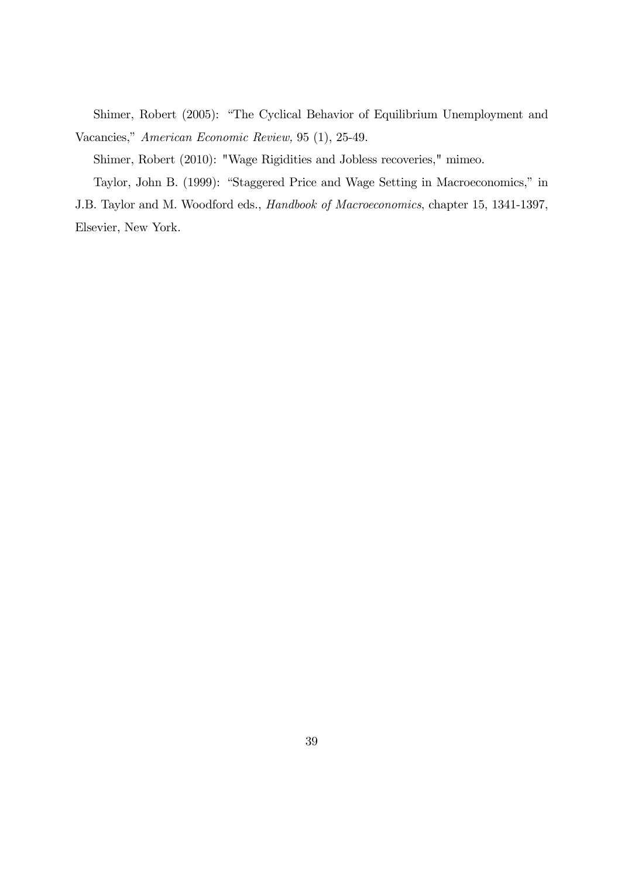Shimer, Robert (2005): "The Cyclical Behavior of Equilibrium Unemployment and Vacancies," American Economic Review, 95 (1), 25-49.

Shimer, Robert (2010): "Wage Rigidities and Jobless recoveries," mimeo.

Taylor, John B. (1999): "Staggered Price and Wage Setting in Macroeconomics," in J.B. Taylor and M. Woodford eds., Handbook of Macroeconomics, chapter 15, 1341-1397,

Elsevier, New York.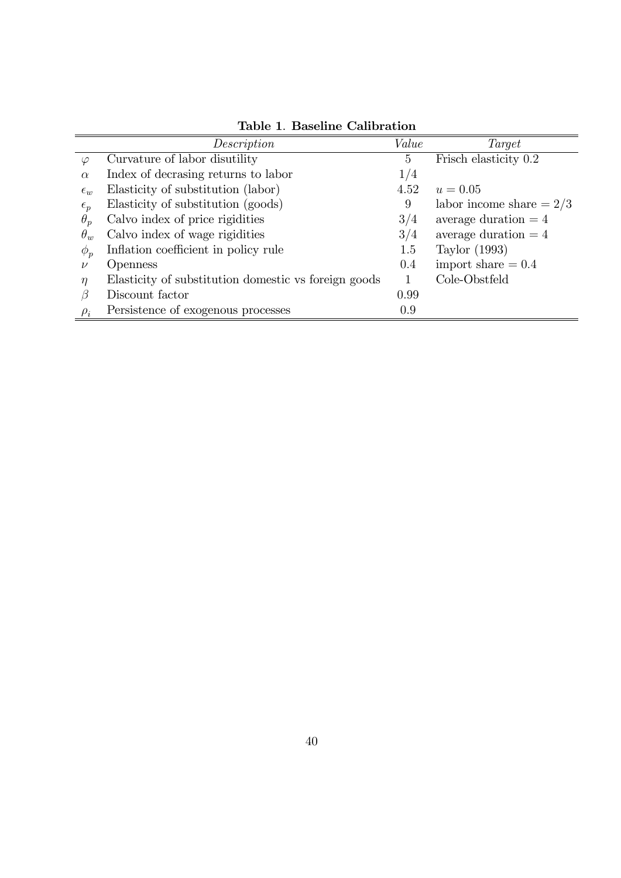|              | Description                                          | Value           | Target                     |
|--------------|------------------------------------------------------|-----------------|----------------------------|
| $\varphi$    | Curvature of labor disutility                        | $5\overline{)}$ | Frisch elasticity 0.2      |
| $\alpha$     | Index of decrasing returns to labor                  | 1/4             |                            |
| $\epsilon_w$ | Elasticity of substitution (labor)                   | 4.52            | $u = 0.05$                 |
| $\epsilon_p$ | Elasticity of substitution (goods)                   | 9               | labor income share $= 2/3$ |
| $\theta_p$   | Calvo index of price rigidities                      | 3/4             | average duration $=4$      |
| $\theta_w$   | Calvo index of wage rigidities                       | 3/4             | average duration $=4$      |
| $\phi_p$     | Inflation coefficient in policy rule                 | 1.5             | Taylor (1993)              |
| $\nu$        | <i>Openness</i>                                      | 0.4             | import share $= 0.4$       |
| $\eta$       | Elasticity of substitution domestic vs foreign goods |                 | Cole-Obstfeld              |
| $\beta$      | Discount factor                                      | 0.99            |                            |
| $\rho_i$     | Persistence of exogenous processes                   | 0.9             |                            |

Table 1. Baseline Calibration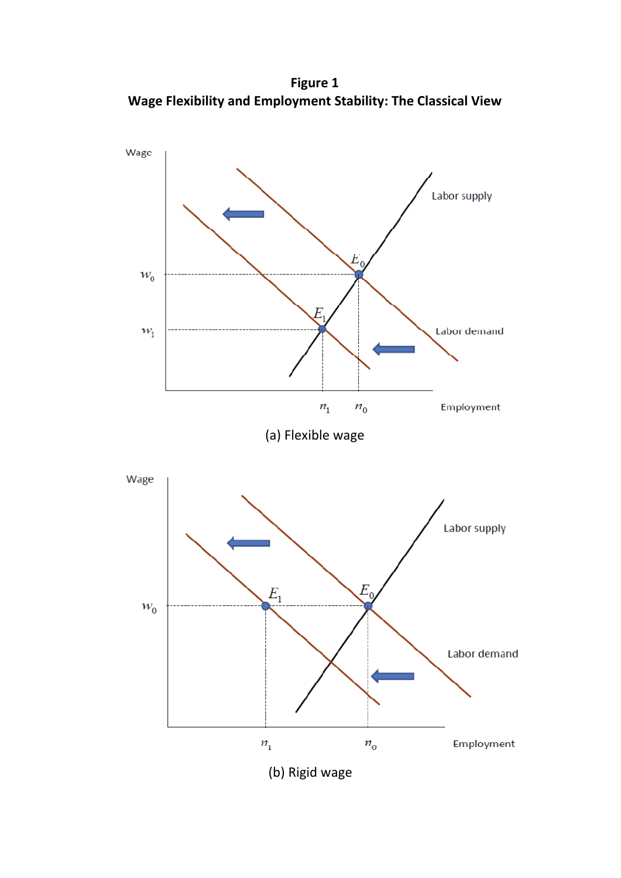**Figure 1 Wage Flexibility and Employment Stability: The Classical View**

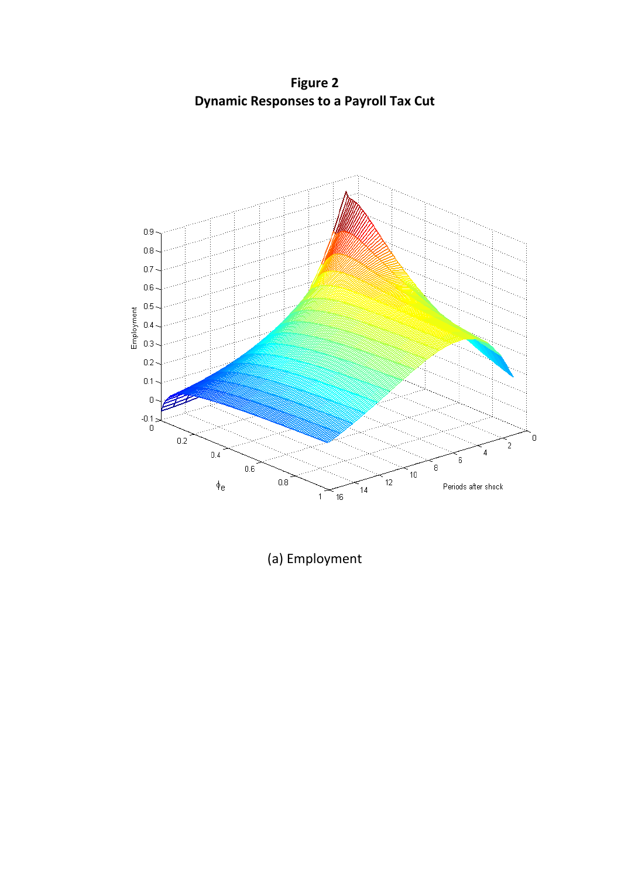**Figure 2 Dynamic Responses to a Payroll Tax Cut** 



(a) Employment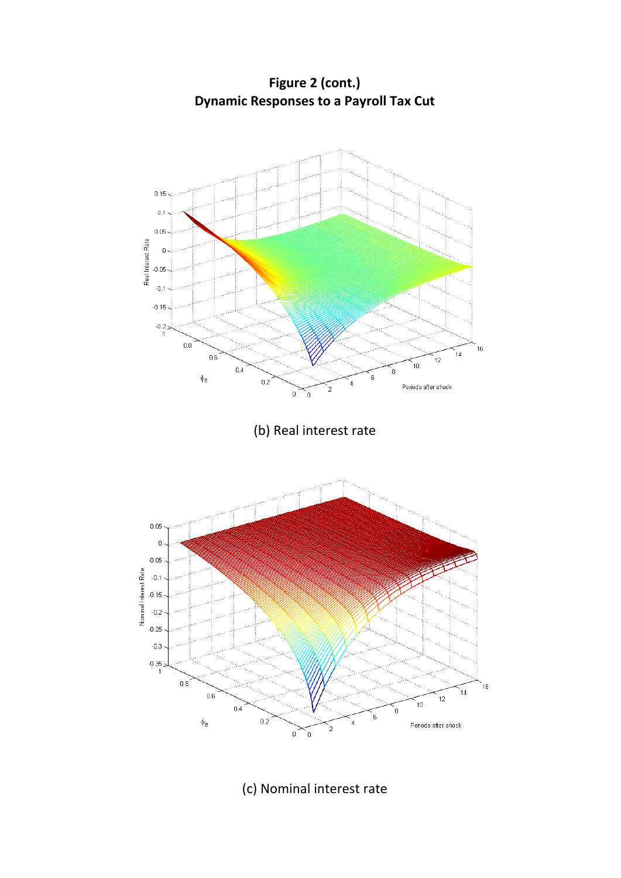**Figure 2 (cont.) Dynamic Responses to a Payroll Tax Cut** 



(c) Nominal interest rate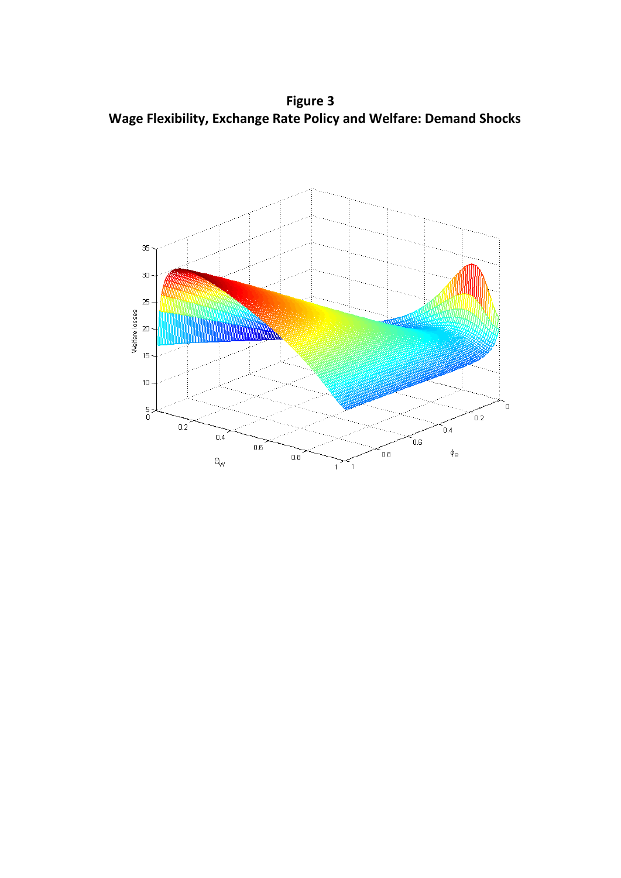**Figure 3 Wage Flexibility, Exchange Rate Policy and Welfare: Demand Shocks**

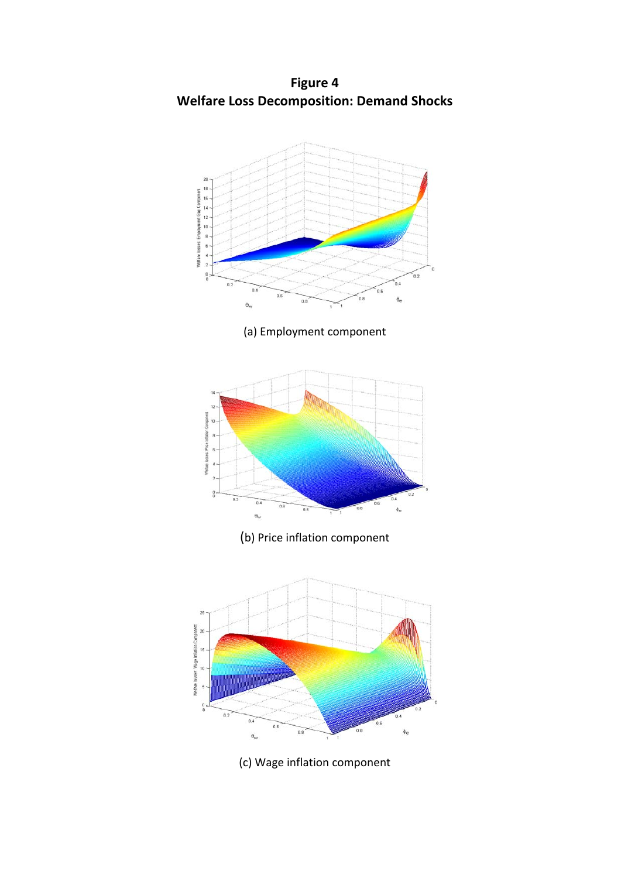**Figure 4 Welfare Loss Decomposition: Demand Shocks** 



(c) Wage inflation component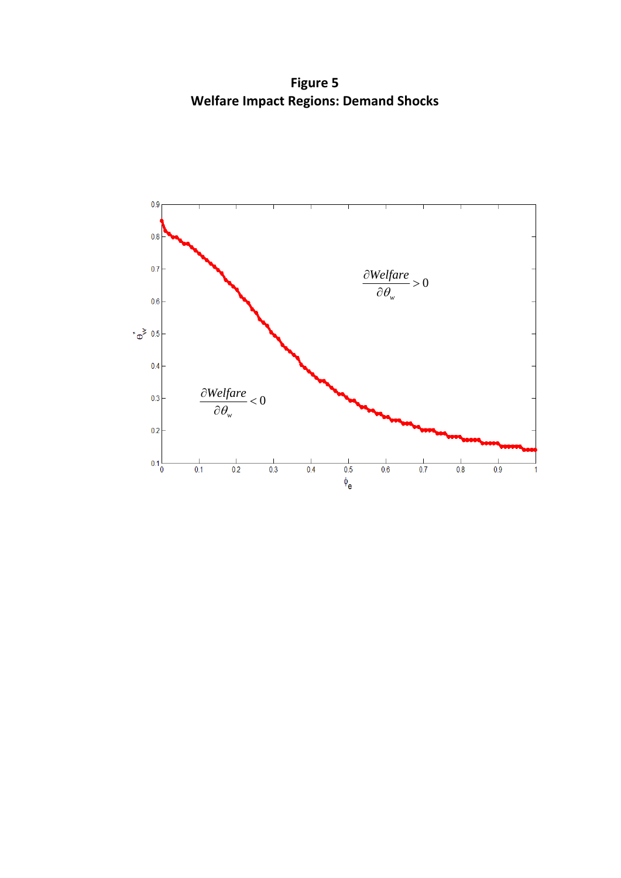**Figure 5 Welfare Impact Regions: Demand Shocks**

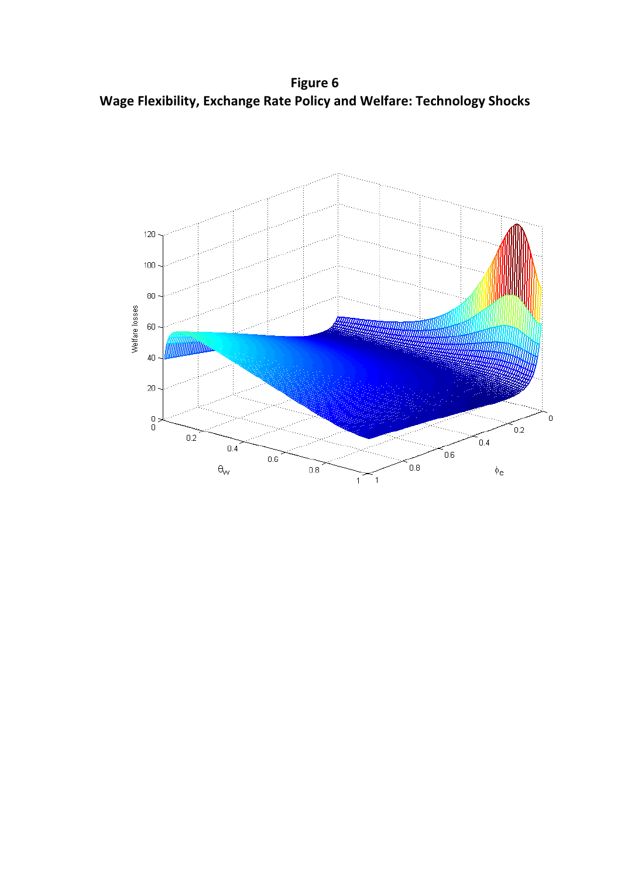**Figure 6 Wage Flexibility, Exchange Rate Policy and Welfare: Technology Shocks**

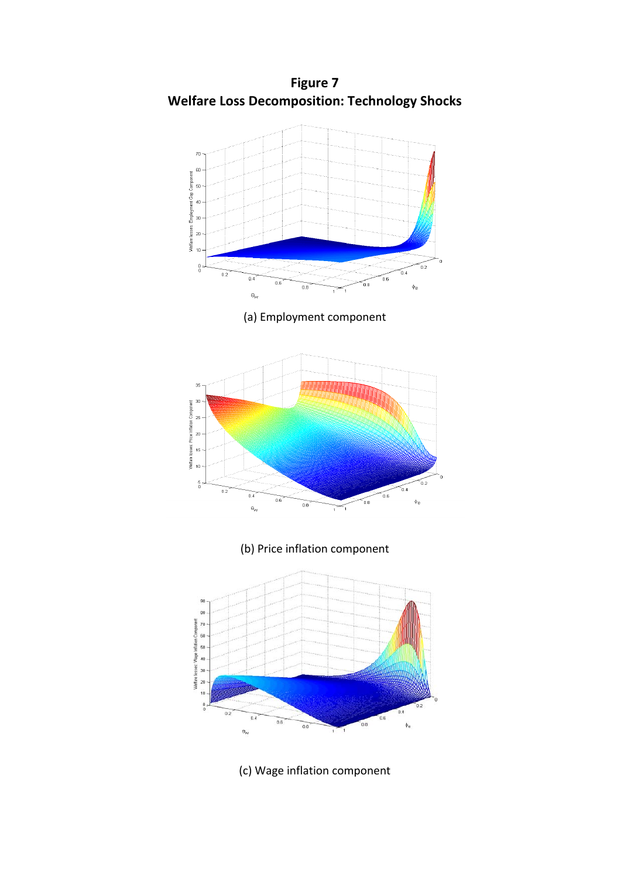**Figure 7 Welfare Loss Decomposition: Technology Shocks** 



(c) Wage inflation component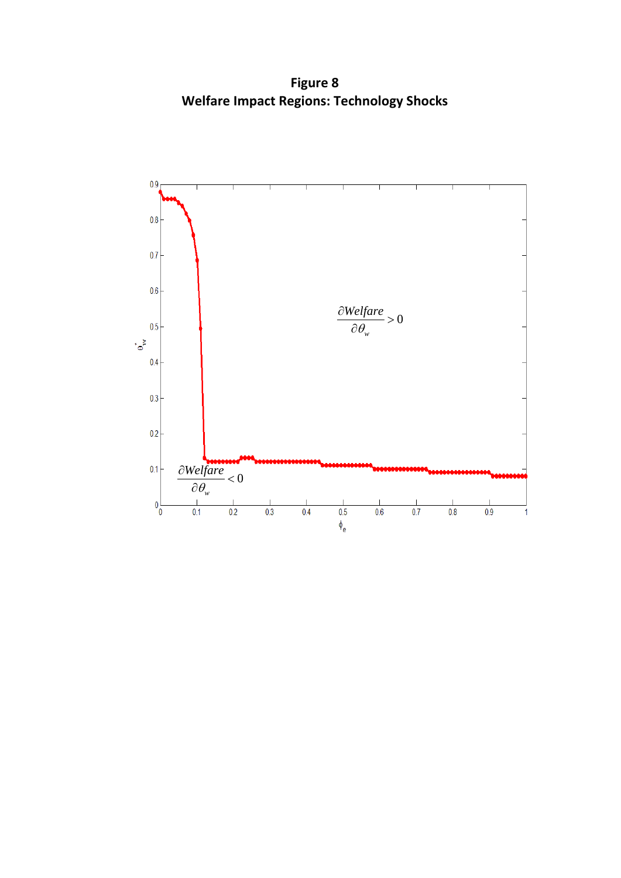**Figure 8 Welfare Impact Regions: Technology Shocks**

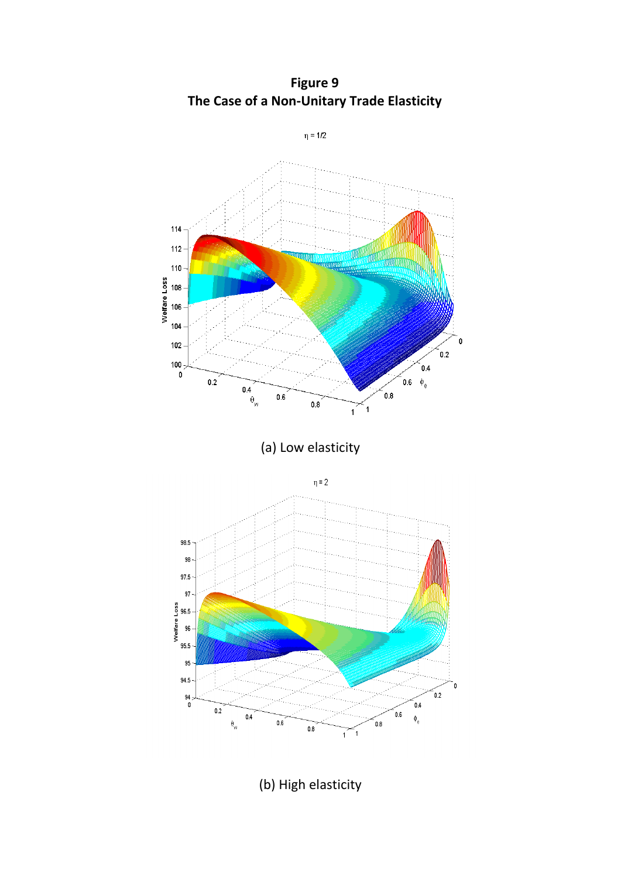

**Figure 9 The Case of a Non‐Unitary Trade Elasticity**

(b) High elasticity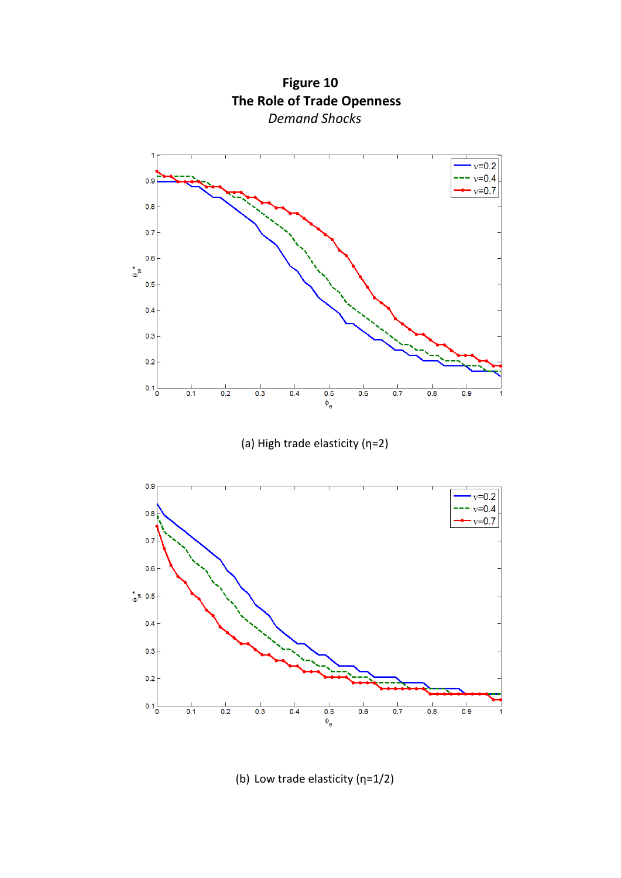

(b) Low trade elasticity (η=1/2)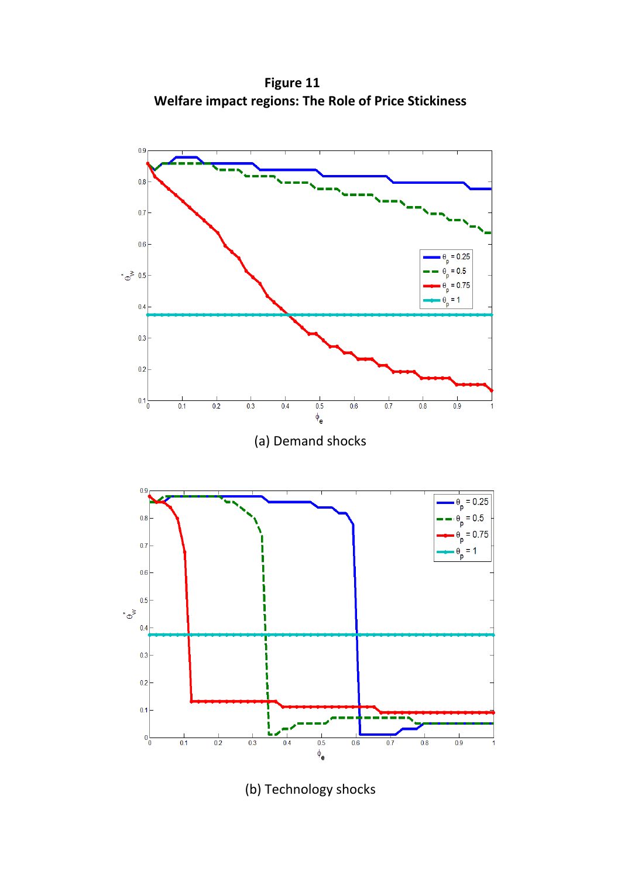**Figure 11 Welfare impact regions: The Role of Price Stickiness**



(b) Technology shocks